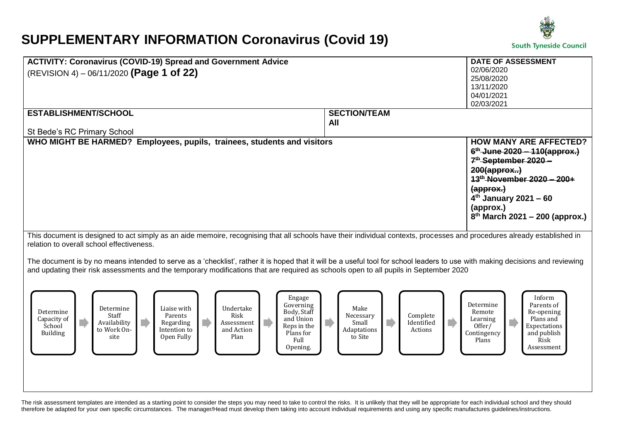## **SUPPLEMENTARY INFORMATION Coronavirus (Covid 19)**



|                                                                                                                                                                                | DATE OF ASSESSMENT                                                              |
|--------------------------------------------------------------------------------------------------------------------------------------------------------------------------------|---------------------------------------------------------------------------------|
| <b>ACTIVITY: Coronavirus (COVID-19) Spread and Government Advice</b>                                                                                                           | 02/06/2020                                                                      |
| (REVISION 4) – 06/11/2020 (Page 1 of 22)                                                                                                                                       | 25/08/2020                                                                      |
|                                                                                                                                                                                | 13/11/2020                                                                      |
|                                                                                                                                                                                | 04/01/2021                                                                      |
|                                                                                                                                                                                | 02/03/2021                                                                      |
| <b>ESTABLISHMENT/SCHOOL</b>                                                                                                                                                    | <b>SECTION/TEAM</b>                                                             |
|                                                                                                                                                                                | All                                                                             |
| St Bede's RC Primary School                                                                                                                                                    |                                                                                 |
| WHO MIGHT BE HARMED? Employees, pupils, trainees, students and visitors                                                                                                        | <b>HOW MANY ARE AFFECTED?</b>                                                   |
|                                                                                                                                                                                | $6^{th}$ -June 2020 - 110(approx.)                                              |
|                                                                                                                                                                                | 7 <sup>th</sup> -September 2020 -                                               |
|                                                                                                                                                                                | $200$ (approx)                                                                  |
|                                                                                                                                                                                | 13 <sup>th</sup> -November 2020 - 200+                                          |
|                                                                                                                                                                                | (approx.)                                                                       |
|                                                                                                                                                                                | $4th$ January 2021 – 60                                                         |
|                                                                                                                                                                                | (approx.)                                                                       |
|                                                                                                                                                                                | $8^{th}$ March 2021 - 200 (approx.)                                             |
|                                                                                                                                                                                |                                                                                 |
| This document is designed to act simply as an aide memoire, recognising that all schools have their individual contexts, processes and procedures already established in       |                                                                                 |
| relation to overall school effectiveness.                                                                                                                                      |                                                                                 |
|                                                                                                                                                                                |                                                                                 |
| The document is by no means intended to serve as a 'checklist', rather it is hoped that it will be a useful tool for school leaders to use with making decisions and reviewing |                                                                                 |
| and updating their risk assessments and the temporary modifications that are required as schools open to all pupils in September 2020                                          |                                                                                 |
|                                                                                                                                                                                |                                                                                 |
|                                                                                                                                                                                |                                                                                 |
| Engage<br>Governing                                                                                                                                                            | Inform<br>Determine<br>Parents of                                               |
| Undertake<br>Liaise with<br>Determine<br>Body, Staff<br>Determine<br>Staff<br>Risk                                                                                             | Make<br>Remote<br>Re-opening                                                    |
| Parents<br>Capacity of<br>and Union<br>n<br>Availability<br>Regarding<br>Assessment                                                                                            | Complete<br>Necessary<br>Plans and<br>Learning<br>п<br>D<br>Identified<br>Small |
| School<br>Reps in the<br>to Work On-<br>and Action<br>Intention to                                                                                                             | Expectations<br>Offer/<br>Adaptations<br>Actions                                |
| Building<br>Plans for<br>Open Fully<br>Plan<br>site<br>Full                                                                                                                    | Contingency<br>and publish<br>to Site<br>Plans<br>Risk                          |
| Opening.                                                                                                                                                                       | Assessment                                                                      |
|                                                                                                                                                                                |                                                                                 |
|                                                                                                                                                                                |                                                                                 |
|                                                                                                                                                                                |                                                                                 |
|                                                                                                                                                                                |                                                                                 |
|                                                                                                                                                                                |                                                                                 |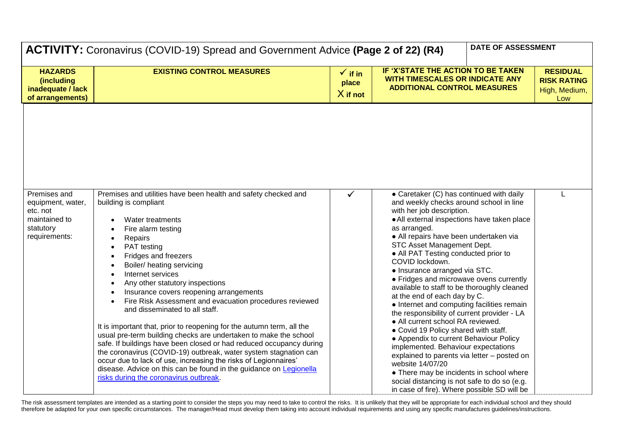| ACTIVITY: Coronavirus (COVID-19) Spread and Government Advice (Page 2 of 22) (R4)            |                                                                                                                                                                                                                                                                                                                                                                                                                                                                                                                                                                                                                                                                                                                                                                                                                                                                                             |                                           |                                                                                                                                                                                                                                                                                                                                                                                                                                                                                                                                                                                                                                                                                                                                                                                                                                                                                                                                                        |  | DATE OF ASSESSMENT                                            |
|----------------------------------------------------------------------------------------------|---------------------------------------------------------------------------------------------------------------------------------------------------------------------------------------------------------------------------------------------------------------------------------------------------------------------------------------------------------------------------------------------------------------------------------------------------------------------------------------------------------------------------------------------------------------------------------------------------------------------------------------------------------------------------------------------------------------------------------------------------------------------------------------------------------------------------------------------------------------------------------------------|-------------------------------------------|--------------------------------------------------------------------------------------------------------------------------------------------------------------------------------------------------------------------------------------------------------------------------------------------------------------------------------------------------------------------------------------------------------------------------------------------------------------------------------------------------------------------------------------------------------------------------------------------------------------------------------------------------------------------------------------------------------------------------------------------------------------------------------------------------------------------------------------------------------------------------------------------------------------------------------------------------------|--|---------------------------------------------------------------|
| <b>HAZARDS</b><br>(including<br>inadequate / lack<br>of arrangements)                        | <b>EXISTING CONTROL MEASURES</b>                                                                                                                                                                                                                                                                                                                                                                                                                                                                                                                                                                                                                                                                                                                                                                                                                                                            | $\checkmark$ if in<br>place<br>$X$ if not | IF 'X'STATE THE ACTION TO BE TAKEN<br><b>WITH TIMESCALES OR INDICATE ANY</b><br><b>ADDITIONAL CONTROL MEASURES</b>                                                                                                                                                                                                                                                                                                                                                                                                                                                                                                                                                                                                                                                                                                                                                                                                                                     |  | <b>RESIDUAL</b><br><b>RISK RATING</b><br>High, Medium,<br>Low |
| Premises and<br>equipment, water,<br>etc. not<br>maintained to<br>statutory<br>requirements: | Premises and utilities have been health and safety checked and<br>building is compliant<br>Water treatments<br>Fire alarm testing<br>Repairs<br>PAT testing<br>Fridges and freezers<br>Boiler/ heating servicing<br>Internet services<br>Any other statutory inspections<br>Insurance covers reopening arrangements<br>Fire Risk Assessment and evacuation procedures reviewed<br>and disseminated to all staff.<br>It is important that, prior to reopening for the autumn term, all the<br>usual pre-term building checks are undertaken to make the school<br>safe. If buildings have been closed or had reduced occupancy during<br>the coronavirus (COVID-19) outbreak, water system stagnation can<br>occur due to lack of use, increasing the risks of Legionnaires'<br>disease. Advice on this can be found in the guidance on Legionella<br>risks during the coronavirus outbreak. | ✓                                         | • Caretaker (C) has continued with daily<br>and weekly checks around school in line<br>with her job description.<br>• All external inspections have taken place<br>as arranged.<br>• All repairs have been undertaken via<br>STC Asset Management Dept.<br>• All PAT Testing conducted prior to<br>COVID lockdown.<br>• Insurance arranged via STC.<br>• Fridges and microwave ovens currently<br>available to staff to be thoroughly cleaned<br>at the end of each day by C.<br>• Internet and computing facilities remain<br>the responsibility of current provider - LA<br>• All current school RA reviewed.<br>• Covid 19 Policy shared with staff.<br>• Appendix to current Behaviour Policy<br>implemented. Behaviour expectations<br>explained to parents via letter - posted on<br>website 14/07/20<br>• There may be incidents in school where<br>social distancing is not safe to do so (e.g.<br>in case of fire). Where possible SD will be |  | L                                                             |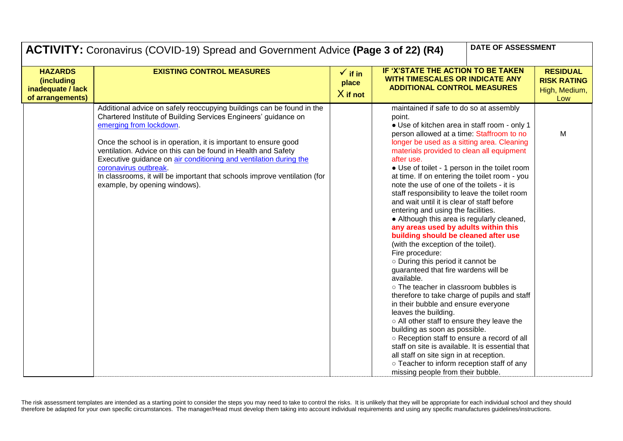|                                                                       | DATE OF ASSESSMENT<br>ACTIVITY: Coronavirus (COVID-19) Spread and Government Advice (Page 3 of 22) (R4)                                                                                                                                                                                                                                                                                                                                                                                                             |                                           |                                                                                                                                                                                                                                                                                                                                                                                                                                                                                                                                                                                                                                                                                                                                                                                                                                                                                                                                                                                                                                                                                                                                                                                                                                                                                                         |  |                                                               |
|-----------------------------------------------------------------------|---------------------------------------------------------------------------------------------------------------------------------------------------------------------------------------------------------------------------------------------------------------------------------------------------------------------------------------------------------------------------------------------------------------------------------------------------------------------------------------------------------------------|-------------------------------------------|---------------------------------------------------------------------------------------------------------------------------------------------------------------------------------------------------------------------------------------------------------------------------------------------------------------------------------------------------------------------------------------------------------------------------------------------------------------------------------------------------------------------------------------------------------------------------------------------------------------------------------------------------------------------------------------------------------------------------------------------------------------------------------------------------------------------------------------------------------------------------------------------------------------------------------------------------------------------------------------------------------------------------------------------------------------------------------------------------------------------------------------------------------------------------------------------------------------------------------------------------------------------------------------------------------|--|---------------------------------------------------------------|
| <b>HAZARDS</b><br>(including<br>inadequate / lack<br>of arrangements) | <b>EXISTING CONTROL MEASURES</b>                                                                                                                                                                                                                                                                                                                                                                                                                                                                                    | $\checkmark$ if in<br>place<br>$X$ if not | IF 'X'STATE THE ACTION TO BE TAKEN<br><b>WITH TIMESCALES OR INDICATE ANY</b><br><b>ADDITIONAL CONTROL MEASURES</b>                                                                                                                                                                                                                                                                                                                                                                                                                                                                                                                                                                                                                                                                                                                                                                                                                                                                                                                                                                                                                                                                                                                                                                                      |  | <b>RESIDUAL</b><br><b>RISK RATING</b><br>High, Medium,<br>Low |
|                                                                       | Additional advice on safely reoccupying buildings can be found in the<br>Chartered Institute of Building Services Engineers' guidance on<br>emerging from lockdown.<br>Once the school is in operation, it is important to ensure good<br>ventilation. Advice on this can be found in Health and Safety<br>Executive guidance on air conditioning and ventilation during the<br>coronavirus outbreak.<br>In classrooms, it will be important that schools improve ventilation (for<br>example, by opening windows). |                                           | maintained if safe to do so at assembly<br>point.<br>• Use of kitchen area in staff room - only 1<br>person allowed at a time: Staffroom to no<br>longer be used as a sitting area. Cleaning<br>materials provided to clean all equipment<br>after use.<br>• Use of toilet - 1 person in the toilet room<br>at time. If on entering the toilet room - you<br>note the use of one of the toilets - it is<br>staff responsibility to leave the toilet room<br>and wait until it is clear of staff before<br>entering and using the facilities.<br>• Although this area is regularly cleaned,<br>any areas used by adults within this<br>building should be cleaned after use<br>(with the exception of the toilet).<br>Fire procedure:<br>o During this period it cannot be<br>guaranteed that fire wardens will be<br>available.<br>o The teacher in classroom bubbles is<br>therefore to take charge of pupils and staff<br>in their bubble and ensure everyone<br>leaves the building.<br>o All other staff to ensure they leave the<br>building as soon as possible.<br>o Reception staff to ensure a record of all<br>staff on site is available. It is essential that<br>all staff on site sign in at reception.<br>o Teacher to inform reception staff of any<br>missing people from their bubble. |  | M                                                             |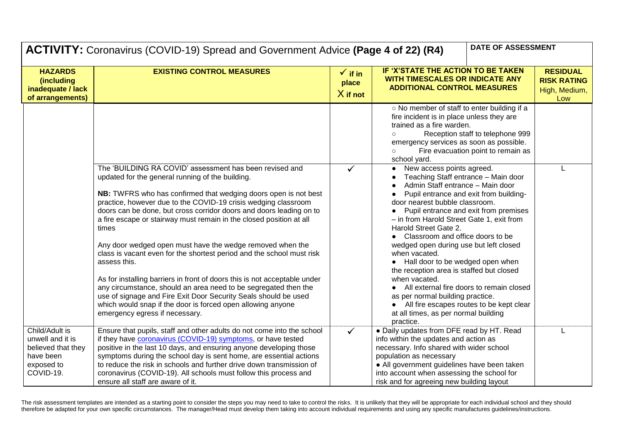| DATE OF ASSESSMENT<br><b>ACTIVITY:</b> Coronavirus (COVID-19) Spread and Government Advice (Page 4 of 22) (R4) |                                                                                                                                                                                                                                                                                                                                                                                                                                                                                                                                                                                                                                                                                                                                                                                                                                                                                   |                                           |                                                                                                                                                                                                                                                                                                                                                                                                                                                                                                                                                                                                                                                                                                            |                                                               |
|----------------------------------------------------------------------------------------------------------------|-----------------------------------------------------------------------------------------------------------------------------------------------------------------------------------------------------------------------------------------------------------------------------------------------------------------------------------------------------------------------------------------------------------------------------------------------------------------------------------------------------------------------------------------------------------------------------------------------------------------------------------------------------------------------------------------------------------------------------------------------------------------------------------------------------------------------------------------------------------------------------------|-------------------------------------------|------------------------------------------------------------------------------------------------------------------------------------------------------------------------------------------------------------------------------------------------------------------------------------------------------------------------------------------------------------------------------------------------------------------------------------------------------------------------------------------------------------------------------------------------------------------------------------------------------------------------------------------------------------------------------------------------------------|---------------------------------------------------------------|
| <b>HAZARDS</b><br>(including<br>inadequate / lack<br>of arrangements)                                          | <b>EXISTING CONTROL MEASURES</b>                                                                                                                                                                                                                                                                                                                                                                                                                                                                                                                                                                                                                                                                                                                                                                                                                                                  | $\checkmark$ if in<br>place<br>$X$ if not | IF 'X'STATE THE ACTION TO BE TAKEN<br>WITH TIMESCALES OR INDICATE ANY<br><b>ADDITIONAL CONTROL MEASURES</b>                                                                                                                                                                                                                                                                                                                                                                                                                                                                                                                                                                                                | <b>RESIDUAL</b><br><b>RISK RATING</b><br>High, Medium,<br>Low |
|                                                                                                                |                                                                                                                                                                                                                                                                                                                                                                                                                                                                                                                                                                                                                                                                                                                                                                                                                                                                                   |                                           | o No member of staff to enter building if a<br>fire incident is in place unless they are<br>trained as a fire warden.<br>Reception staff to telephone 999<br>$\circ$<br>emergency services as soon as possible.<br>Fire evacuation point to remain as<br>$\circ$<br>school yard.                                                                                                                                                                                                                                                                                                                                                                                                                           |                                                               |
|                                                                                                                | The 'BUILDING RA COVID' assessment has been revised and<br>updated for the general running of the building.<br>NB: TWFRS who has confirmed that wedging doors open is not best<br>practice, however due to the COVID-19 crisis wedging classroom<br>doors can be done, but cross corridor doors and doors leading on to<br>a fire escape or stairway must remain in the closed position at all<br>times<br>Any door wedged open must have the wedge removed when the<br>class is vacant even for the shortest period and the school must risk<br>assess this.<br>As for installing barriers in front of doors this is not acceptable under<br>any circumstance, should an area need to be segregated then the<br>use of signage and Fire Exit Door Security Seals should be used<br>which would snap if the door is forced open allowing anyone<br>emergency egress if necessary. | $\checkmark$                              | New access points agreed.<br>$\bullet$<br>Teaching Staff entrance - Main door<br>Admin Staff entrance - Main door<br>Pupil entrance and exit from building-<br>door nearest bubble classroom.<br>Pupil entrance and exit from premises<br>$\bullet$<br>- in from Harold Street Gate 1, exit from<br>Harold Street Gate 2.<br>Classroom and office doors to be<br>wedged open during use but left closed<br>when vacated.<br>Hall door to be wedged open when<br>the reception area is staffed but closed<br>when vacated.<br>All external fire doors to remain closed<br>as per normal building practice.<br>All fire escapes routes to be kept clear<br>at all times, as per normal building<br>practice. |                                                               |
| Child/Adult is<br>unwell and it is<br>believed that they<br>have been<br>exposed to<br>COVID-19.               | Ensure that pupils, staff and other adults do not come into the school<br>if they have <b>coronavirus</b> (COVID-19) symptoms, or have tested<br>positive in the last 10 days, and ensuring anyone developing those<br>symptoms during the school day is sent home, are essential actions<br>to reduce the risk in schools and further drive down transmission of<br>coronavirus (COVID-19). All schools must follow this process and<br>ensure all staff are aware of it.                                                                                                                                                                                                                                                                                                                                                                                                        | $\checkmark$                              | • Daily updates from DFE read by HT. Read<br>info within the updates and action as<br>necessary. Info shared with wider school<br>population as necessary<br>• All government guidelines have been taken<br>into account when assessing the school for<br>risk and for agreeing new building layout                                                                                                                                                                                                                                                                                                                                                                                                        |                                                               |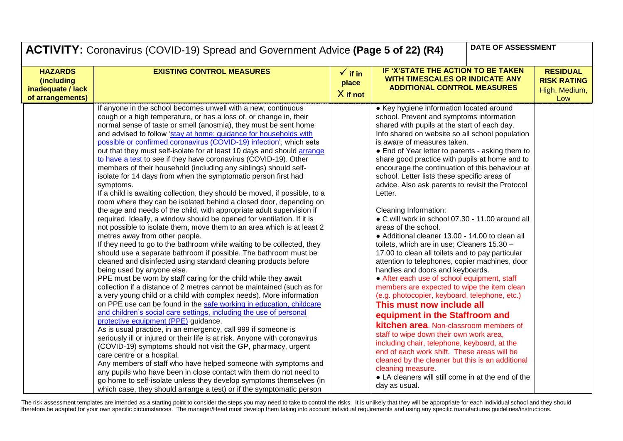| DATE OF ASSESSMENT<br><b>ACTIVITY:</b> Coronavirus (COVID-19) Spread and Government Advice (Page 5 of 22) (R4) |                                                                                                                                                                                                                                                                                                                                                                                                                                                                                                                                                                                                                                                                                                                                                                                                                                                                                                                                                                                                                                                                                                                                                                                                                                                                                                                                                                                                                                                                                                                                                                                                                                                                                                                                                                                                                                                                                                                                                                                                                                                                                                                                                                                                                                                                       |                                           |                                                                                                                                                                                                                                                                                                                                                                                                                                                                                                                                                                                                                                                                                                                                                                                                                                                                                                                                                                                                                                                                                                                                                                                                                                                                                                                                                                                                          |                                                               |  |
|----------------------------------------------------------------------------------------------------------------|-----------------------------------------------------------------------------------------------------------------------------------------------------------------------------------------------------------------------------------------------------------------------------------------------------------------------------------------------------------------------------------------------------------------------------------------------------------------------------------------------------------------------------------------------------------------------------------------------------------------------------------------------------------------------------------------------------------------------------------------------------------------------------------------------------------------------------------------------------------------------------------------------------------------------------------------------------------------------------------------------------------------------------------------------------------------------------------------------------------------------------------------------------------------------------------------------------------------------------------------------------------------------------------------------------------------------------------------------------------------------------------------------------------------------------------------------------------------------------------------------------------------------------------------------------------------------------------------------------------------------------------------------------------------------------------------------------------------------------------------------------------------------------------------------------------------------------------------------------------------------------------------------------------------------------------------------------------------------------------------------------------------------------------------------------------------------------------------------------------------------------------------------------------------------------------------------------------------------------------------------------------------------|-------------------------------------------|----------------------------------------------------------------------------------------------------------------------------------------------------------------------------------------------------------------------------------------------------------------------------------------------------------------------------------------------------------------------------------------------------------------------------------------------------------------------------------------------------------------------------------------------------------------------------------------------------------------------------------------------------------------------------------------------------------------------------------------------------------------------------------------------------------------------------------------------------------------------------------------------------------------------------------------------------------------------------------------------------------------------------------------------------------------------------------------------------------------------------------------------------------------------------------------------------------------------------------------------------------------------------------------------------------------------------------------------------------------------------------------------------------|---------------------------------------------------------------|--|
| <b>HAZARDS</b><br>(including<br>inadequate / lack<br>of arrangements)                                          | <b>EXISTING CONTROL MEASURES</b>                                                                                                                                                                                                                                                                                                                                                                                                                                                                                                                                                                                                                                                                                                                                                                                                                                                                                                                                                                                                                                                                                                                                                                                                                                                                                                                                                                                                                                                                                                                                                                                                                                                                                                                                                                                                                                                                                                                                                                                                                                                                                                                                                                                                                                      | $\checkmark$ if in<br>place<br>$X$ if not | IF 'X'STATE THE ACTION TO BE TAKEN<br>WITH TIMESCALES OR INDICATE ANY<br><b>ADDITIONAL CONTROL MEASURES</b>                                                                                                                                                                                                                                                                                                                                                                                                                                                                                                                                                                                                                                                                                                                                                                                                                                                                                                                                                                                                                                                                                                                                                                                                                                                                                              | <b>RESIDUAL</b><br><b>RISK RATING</b><br>High, Medium,<br>Low |  |
|                                                                                                                | If anyone in the school becomes unwell with a new, continuous<br>cough or a high temperature, or has a loss of, or change in, their<br>normal sense of taste or smell (anosmia), they must be sent home<br>and advised to follow 'stay at home: guidance for households with<br>possible or confirmed coronavirus (COVID-19) infection', which sets<br>out that they must self-isolate for at least 10 days and should arrange<br>to have a test to see if they have coronavirus (COVID-19). Other<br>members of their household (including any siblings) should self-<br>isolate for 14 days from when the symptomatic person first had<br>symptoms.<br>If a child is awaiting collection, they should be moved, if possible, to a<br>room where they can be isolated behind a closed door, depending on<br>the age and needs of the child, with appropriate adult supervision if<br>required. Ideally, a window should be opened for ventilation. If it is<br>not possible to isolate them, move them to an area which is at least 2<br>metres away from other people.<br>If they need to go to the bathroom while waiting to be collected, they<br>should use a separate bathroom if possible. The bathroom must be<br>cleaned and disinfected using standard cleaning products before<br>being used by anyone else.<br>PPE must be worn by staff caring for the child while they await<br>collection if a distance of 2 metres cannot be maintained (such as for<br>a very young child or a child with complex needs). More information<br>on PPE use can be found in the safe working in education, childcare<br>and children's social care settings, including the use of personal<br>protective equipment (PPE) guidance.<br>As is usual practice, in an emergency, call 999 if someone is<br>seriously ill or injured or their life is at risk. Anyone with coronavirus<br>(COVID-19) symptoms should not visit the GP, pharmacy, urgent<br>care centre or a hospital.<br>Any members of staff who have helped someone with symptoms and<br>any pupils who have been in close contact with them do not need to<br>go home to self-isolate unless they develop symptoms themselves (in<br>which case, they should arrange a test) or if the symptomatic person |                                           | • Key hygiene information located around<br>school. Prevent and symptoms information<br>shared with pupils at the start of each day.<br>Info shared on website so all school population<br>is aware of measures taken.<br>• End of Year letter to parents - asking them to<br>share good practice with pupils at home and to<br>encourage the continuation of this behaviour at<br>school. Letter lists these specific areas of<br>advice. Also ask parents to revisit the Protocol<br>Letter.<br>Cleaning Information:<br>• C will work in school 07.30 - 11.00 around all<br>areas of the school.<br>• Additional cleaner 13.00 - 14.00 to clean all<br>toilets, which are in use; Cleaners 15.30 -<br>17.00 to clean all toilets and to pay particular<br>attention to telephones, copier machines, door<br>handles and doors and keyboards.<br>• After each use of school equipment, staff<br>members are expected to wipe the item clean<br>(e.g. photocopier, keyboard, telephone, etc.)<br>This must now include all<br>equipment in the Staffroom and<br><b>kitchen area.</b> Non-classroom members of<br>staff to wipe down their own work area,<br>including chair, telephone, keyboard, at the<br>end of each work shift. These areas will be<br>cleaned by the cleaner but this is an additional<br>cleaning measure.<br>• LA cleaners will still come in at the end of the<br>day as usual. |                                                               |  |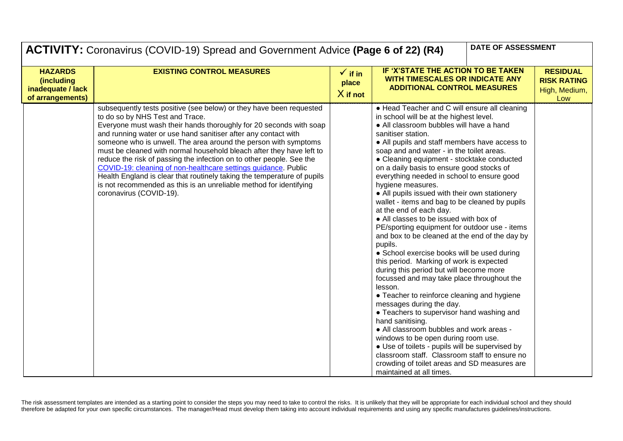|                                                                       | DATE OF ASSESSMENT<br>ACTIVITY: Coronavirus (COVID-19) Spread and Government Advice (Page 6 of 22) (R4)                                                                                                                                                                                                                                                                                                                                                                                                                                                                                                                                                                                                         |                                           |                                                                                                                                                                                                                                                                                                                                                                                                                                                                                                                                                                                                                                                                                                                                                                                                                                                                                                                                                                                                                                                                                                                                                                                                                                                                                                                            |  |                                                               |
|-----------------------------------------------------------------------|-----------------------------------------------------------------------------------------------------------------------------------------------------------------------------------------------------------------------------------------------------------------------------------------------------------------------------------------------------------------------------------------------------------------------------------------------------------------------------------------------------------------------------------------------------------------------------------------------------------------------------------------------------------------------------------------------------------------|-------------------------------------------|----------------------------------------------------------------------------------------------------------------------------------------------------------------------------------------------------------------------------------------------------------------------------------------------------------------------------------------------------------------------------------------------------------------------------------------------------------------------------------------------------------------------------------------------------------------------------------------------------------------------------------------------------------------------------------------------------------------------------------------------------------------------------------------------------------------------------------------------------------------------------------------------------------------------------------------------------------------------------------------------------------------------------------------------------------------------------------------------------------------------------------------------------------------------------------------------------------------------------------------------------------------------------------------------------------------------------|--|---------------------------------------------------------------|
| <b>HAZARDS</b><br>(including<br>inadequate / lack<br>of arrangements) | <b>EXISTING CONTROL MEASURES</b>                                                                                                                                                                                                                                                                                                                                                                                                                                                                                                                                                                                                                                                                                | $\checkmark$ if in<br>place<br>$X$ if not | IF 'X'STATE THE ACTION TO BE TAKEN<br><b>WITH TIMESCALES OR INDICATE ANY</b><br><b>ADDITIONAL CONTROL MEASURES</b>                                                                                                                                                                                                                                                                                                                                                                                                                                                                                                                                                                                                                                                                                                                                                                                                                                                                                                                                                                                                                                                                                                                                                                                                         |  | <b>RESIDUAL</b><br><b>RISK RATING</b><br>High, Medium,<br>Low |
|                                                                       | subsequently tests positive (see below) or they have been requested<br>to do so by NHS Test and Trace.<br>Everyone must wash their hands thoroughly for 20 seconds with soap<br>and running water or use hand sanitiser after any contact with<br>someone who is unwell. The area around the person with symptoms<br>must be cleaned with normal household bleach after they have left to<br>reduce the risk of passing the infection on to other people. See the<br>COVID-19: cleaning of non-healthcare settings guidance. Public<br>Health England is clear that routinely taking the temperature of pupils<br>is not recommended as this is an unreliable method for identifying<br>coronavirus (COVID-19). |                                           | • Head Teacher and C will ensure all cleaning<br>in school will be at the highest level.<br>• All classroom bubbles will have a hand<br>sanitiser station.<br>• All pupils and staff members have access to<br>soap and and water - in the toilet areas.<br>• Cleaning equipment - stocktake conducted<br>on a daily basis to ensure good stocks of<br>everything needed in school to ensure good<br>hygiene measures.<br>• All pupils issued with their own stationery<br>wallet - items and bag to be cleaned by pupils<br>at the end of each day.<br>• All classes to be issued with box of<br>PE/sporting equipment for outdoor use - items<br>and box to be cleaned at the end of the day by<br>pupils.<br>• School exercise books will be used during<br>this period. Marking of work is expected<br>during this period but will become more<br>focussed and may take place throughout the<br>lesson.<br>• Teacher to reinforce cleaning and hygiene<br>messages during the day.<br>• Teachers to supervisor hand washing and<br>hand sanitising.<br>• All classroom bubbles and work areas -<br>windows to be open during room use.<br>• Use of toilets - pupils will be supervised by<br>classroom staff. Classroom staff to ensure no<br>crowding of toilet areas and SD measures are<br>maintained at all times. |  |                                                               |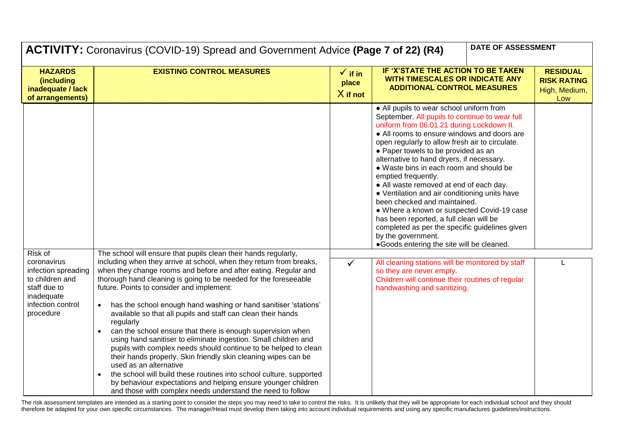| <b>DATE OF ASSESSMENT</b><br><b>ACTIVITY:</b> Coronavirus (COVID-19) Spread and Government Advice (Page 7 of 22) (R4)            |                                                                                                                                                                                                                                                                                                                                                                                                                                                                                                                                                                                                                                                                                                                                                                                                                                                                                                                                                                                                |                                           |                                                                                                                                                                                                                                                                                                                                                                                                                                                                                                                                                                                                                                                                                                                                           |  |                                                               |
|----------------------------------------------------------------------------------------------------------------------------------|------------------------------------------------------------------------------------------------------------------------------------------------------------------------------------------------------------------------------------------------------------------------------------------------------------------------------------------------------------------------------------------------------------------------------------------------------------------------------------------------------------------------------------------------------------------------------------------------------------------------------------------------------------------------------------------------------------------------------------------------------------------------------------------------------------------------------------------------------------------------------------------------------------------------------------------------------------------------------------------------|-------------------------------------------|-------------------------------------------------------------------------------------------------------------------------------------------------------------------------------------------------------------------------------------------------------------------------------------------------------------------------------------------------------------------------------------------------------------------------------------------------------------------------------------------------------------------------------------------------------------------------------------------------------------------------------------------------------------------------------------------------------------------------------------------|--|---------------------------------------------------------------|
| <b>HAZARDS</b><br><i>(including</i><br>inadequate / lack<br>of arrangements)                                                     | <b>EXISTING CONTROL MEASURES</b>                                                                                                                                                                                                                                                                                                                                                                                                                                                                                                                                                                                                                                                                                                                                                                                                                                                                                                                                                               | $\checkmark$ if in<br>place<br>$X$ if not | IF 'X'STATE THE ACTION TO BE TAKEN<br><b>WITH TIMESCALES OR INDICATE ANY</b><br><b>ADDITIONAL CONTROL MEASURES</b>                                                                                                                                                                                                                                                                                                                                                                                                                                                                                                                                                                                                                        |  | <b>RESIDUAL</b><br><b>RISK RATING</b><br>High, Medium,<br>Low |
|                                                                                                                                  |                                                                                                                                                                                                                                                                                                                                                                                                                                                                                                                                                                                                                                                                                                                                                                                                                                                                                                                                                                                                |                                           | • All pupils to wear school uniform from<br>September. All pupils to continue to wear full<br>uniform from 06.01.21 during Lockdown II.<br>• All rooms to ensure windows and doors are<br>open regularly to allow fresh air to circulate.<br>• Paper towels to be provided as an<br>alternative to hand dryers, if necessary.<br>• Waste bins in each room and should be<br>emptied frequently.<br>• All waste removed at end of each day.<br>• Ventilation and air conditioning units have<br>been checked and maintained.<br>• Where a known or suspected Covid-19 case<br>has been reported, a full clean will be<br>completed as per the specific guidelines given<br>by the government.<br>.Goods entering the site will be cleaned. |  |                                                               |
| Risk of<br>coronavirus<br>infection spreading<br>to children and<br>staff due to<br>inadequate<br>infection control<br>procedure | The school will ensure that pupils clean their hands regularly,<br>including when they arrive at school, when they return from breaks,<br>when they change rooms and before and after eating. Regular and<br>thorough hand cleaning is going to be needed for the foreseeable<br>future. Points to consider and implement:<br>has the school enough hand washing or hand sanitiser 'stations'<br>$\bullet$<br>available so that all pupils and staff can clean their hands<br>regularly<br>can the school ensure that there is enough supervision when<br>using hand sanitiser to eliminate ingestion. Small children and<br>pupils with complex needs should continue to be helped to clean<br>their hands properly. Skin friendly skin cleaning wipes can be<br>used as an alternative<br>the school will build these routines into school culture, supported<br>by behaviour expectations and helping ensure younger children<br>and those with complex needs understand the need to follow | $\checkmark$                              | All cleaning stations will be monitored by staff<br>so they are never empty.<br>Children will continue their routines of regular<br>handwashing and sanitizing.                                                                                                                                                                                                                                                                                                                                                                                                                                                                                                                                                                           |  | L                                                             |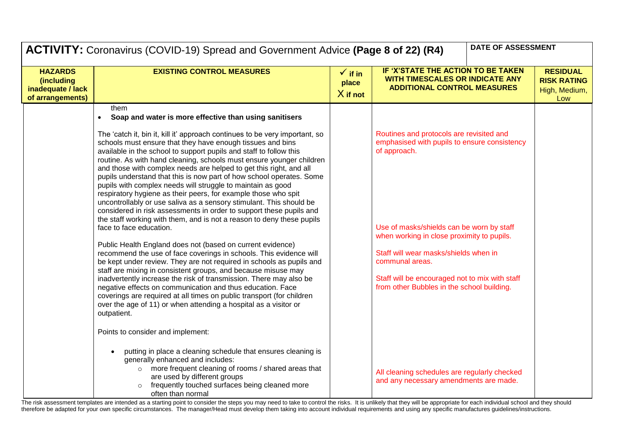|                                                                       | DATE OF ASSESSMENT<br>ACTIVITY: Coronavirus (COVID-19) Spread and Government Advice (Page 8 of 22) (R4)                                                                                                                                                                                                                                                                                                                                                                                                                                                                                                                                                                                                                                                                                                                                                                                                                                                                                                                                                                                                                                                                                                                                                                                                                                                                                                                                                                                                                                                                                                                                                                                                                                                                                                    |                                           |                                                                                                                                                                                                                                                                                                                                                                                                                                                           |  |                                                               |
|-----------------------------------------------------------------------|------------------------------------------------------------------------------------------------------------------------------------------------------------------------------------------------------------------------------------------------------------------------------------------------------------------------------------------------------------------------------------------------------------------------------------------------------------------------------------------------------------------------------------------------------------------------------------------------------------------------------------------------------------------------------------------------------------------------------------------------------------------------------------------------------------------------------------------------------------------------------------------------------------------------------------------------------------------------------------------------------------------------------------------------------------------------------------------------------------------------------------------------------------------------------------------------------------------------------------------------------------------------------------------------------------------------------------------------------------------------------------------------------------------------------------------------------------------------------------------------------------------------------------------------------------------------------------------------------------------------------------------------------------------------------------------------------------------------------------------------------------------------------------------------------------|-------------------------------------------|-----------------------------------------------------------------------------------------------------------------------------------------------------------------------------------------------------------------------------------------------------------------------------------------------------------------------------------------------------------------------------------------------------------------------------------------------------------|--|---------------------------------------------------------------|
| <b>HAZARDS</b><br>(including<br>inadequate / lack<br>of arrangements) | <b>EXISTING CONTROL MEASURES</b>                                                                                                                                                                                                                                                                                                                                                                                                                                                                                                                                                                                                                                                                                                                                                                                                                                                                                                                                                                                                                                                                                                                                                                                                                                                                                                                                                                                                                                                                                                                                                                                                                                                                                                                                                                           | $\checkmark$ if in<br>place<br>$X$ if not | IF 'X'STATE THE ACTION TO BE TAKEN<br><b>WITH TIMESCALES OR INDICATE ANY</b><br><b>ADDITIONAL CONTROL MEASURES</b>                                                                                                                                                                                                                                                                                                                                        |  | <b>RESIDUAL</b><br><b>RISK RATING</b><br>High, Medium,<br>Low |
|                                                                       | them<br>Soap and water is more effective than using sanitisers<br>$\bullet$<br>The 'catch it, bin it, kill it' approach continues to be very important, so<br>schools must ensure that they have enough tissues and bins<br>available in the school to support pupils and staff to follow this<br>routine. As with hand cleaning, schools must ensure younger children<br>and those with complex needs are helped to get this right, and all<br>pupils understand that this is now part of how school operates. Some<br>pupils with complex needs will struggle to maintain as good<br>respiratory hygiene as their peers, for example those who spit<br>uncontrollably or use saliva as a sensory stimulant. This should be<br>considered in risk assessments in order to support these pupils and<br>the staff working with them, and is not a reason to deny these pupils<br>face to face education.<br>Public Health England does not (based on current evidence)<br>recommend the use of face coverings in schools. This evidence will<br>be kept under review. They are not required in schools as pupils and<br>staff are mixing in consistent groups, and because misuse may<br>inadvertently increase the risk of transmission. There may also be<br>negative effects on communication and thus education. Face<br>coverings are required at all times on public transport (for children<br>over the age of 11) or when attending a hospital as a visitor or<br>outpatient.<br>Points to consider and implement:<br>putting in place a cleaning schedule that ensures cleaning is<br>generally enhanced and includes:<br>o more frequent cleaning of rooms / shared areas that<br>are used by different groups<br>frequently touched surfaces being cleaned more<br>$\Omega$<br>often than normal |                                           | Routines and protocols are revisited and<br>emphasised with pupils to ensure consistency<br>of approach.<br>Use of masks/shields can be worn by staff<br>when working in close proximity to pupils.<br>Staff will wear masks/shields when in<br>communal areas.<br>Staff will be encouraged not to mix with staff<br>from other Bubbles in the school building.<br>All cleaning schedules are regularly checked<br>and any necessary amendments are made. |  |                                                               |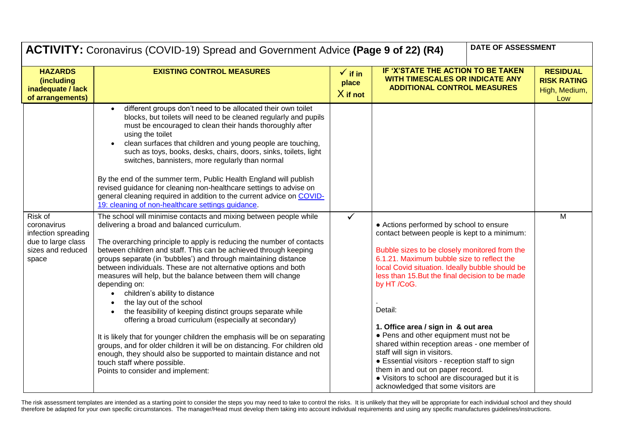|                                                                                                   | DATE OF ASSESSMENT<br>ACTIVITY: Coronavirus (COVID-19) Spread and Government Advice (Page 9 of 22) (R4)                                                                                                                                                                                                                                                                                                                                                                                                                                                                                                                                                                                                                                                                                                                                                                                                                                                                                                                                                                                                                                                                                                                                                                                                                                                                                                                                                                                                                                                                                                                                                                                     |                                           |                                                                                                                                                                                                                                                                                                                                                                                                                                                                                                                                                                                                                                                                         |  |                                                               |
|---------------------------------------------------------------------------------------------------|---------------------------------------------------------------------------------------------------------------------------------------------------------------------------------------------------------------------------------------------------------------------------------------------------------------------------------------------------------------------------------------------------------------------------------------------------------------------------------------------------------------------------------------------------------------------------------------------------------------------------------------------------------------------------------------------------------------------------------------------------------------------------------------------------------------------------------------------------------------------------------------------------------------------------------------------------------------------------------------------------------------------------------------------------------------------------------------------------------------------------------------------------------------------------------------------------------------------------------------------------------------------------------------------------------------------------------------------------------------------------------------------------------------------------------------------------------------------------------------------------------------------------------------------------------------------------------------------------------------------------------------------------------------------------------------------|-------------------------------------------|-------------------------------------------------------------------------------------------------------------------------------------------------------------------------------------------------------------------------------------------------------------------------------------------------------------------------------------------------------------------------------------------------------------------------------------------------------------------------------------------------------------------------------------------------------------------------------------------------------------------------------------------------------------------------|--|---------------------------------------------------------------|
| <b>HAZARDS</b><br>(including<br>inadequate / lack<br>of arrangements)                             | <b>EXISTING CONTROL MEASURES</b>                                                                                                                                                                                                                                                                                                                                                                                                                                                                                                                                                                                                                                                                                                                                                                                                                                                                                                                                                                                                                                                                                                                                                                                                                                                                                                                                                                                                                                                                                                                                                                                                                                                            | $\checkmark$ if in<br>place<br>$X$ if not | IF 'X'STATE THE ACTION TO BE TAKEN<br><b>WITH TIMESCALES OR INDICATE ANY</b><br><b>ADDITIONAL CONTROL MEASURES</b>                                                                                                                                                                                                                                                                                                                                                                                                                                                                                                                                                      |  | <b>RESIDUAL</b><br><b>RISK RATING</b><br>High, Medium,<br>Low |
| Risk of<br>coronavirus<br>infection spreading<br>due to large class<br>sizes and reduced<br>space | different groups don't need to be allocated their own toilet<br>$\bullet$<br>blocks, but toilets will need to be cleaned regularly and pupils<br>must be encouraged to clean their hands thoroughly after<br>using the toilet<br>clean surfaces that children and young people are touching,<br>such as toys, books, desks, chairs, doors, sinks, toilets, light<br>switches, bannisters, more regularly than normal<br>By the end of the summer term, Public Health England will publish<br>revised guidance for cleaning non-healthcare settings to advise on<br>general cleaning required in addition to the current advice on COVID-<br>19: cleaning of non-healthcare settings guidance.<br>The school will minimise contacts and mixing between people while<br>delivering a broad and balanced curriculum.<br>The overarching principle to apply is reducing the number of contacts<br>between children and staff. This can be achieved through keeping<br>groups separate (in 'bubbles') and through maintaining distance<br>between individuals. These are not alternative options and both<br>measures will help, but the balance between them will change<br>depending on:<br>children's ability to distance<br>$\bullet$<br>the lay out of the school<br>the feasibility of keeping distinct groups separate while<br>offering a broad curriculum (especially at secondary)<br>It is likely that for younger children the emphasis will be on separating<br>groups, and for older children it will be on distancing. For children old<br>enough, they should also be supported to maintain distance and not<br>touch staff where possible.<br>Points to consider and implement: | $\checkmark$                              | • Actions performed by school to ensure<br>contact between people is kept to a minimum:<br>Bubble sizes to be closely monitored from the<br>6.1.21. Maximum bubble size to reflect the<br>local Covid situation. Ideally bubble should be<br>less than 15. But the final decision to be made<br>by HT /CoG.<br>Detail:<br>1. Office area / sign in & out area<br>• Pens and other equipment must not be<br>shared within reception areas - one member of<br>staff will sign in visitors.<br>• Essential visitors - reception staff to sign<br>them in and out on paper record.<br>• Visitors to school are discouraged but it is<br>acknowledged that some visitors are |  | M                                                             |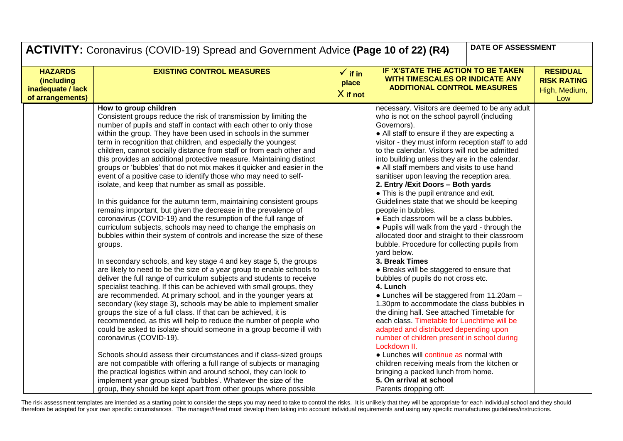|                                                                              | DATE OF ASSESSMENT<br><b>ACTIVITY:</b> Coronavirus (COVID-19) Spread and Government Advice (Page 10 of 22) (R4)                                                                                                                                                                                                                                                                                                                                                                                                                                                                                                                                                                                                                                                                                                                                                                                                                                                                                                                                                                                                                                                                                                                                                                                                                                                                                                                                                                                                                                                                                                                                                                                                                                                                                                                                                                                                                                                                                         |                                           |                                                                                                                                                                                                                                                                                                                                                                                                                                                                                                                                                                                                                                                                                                                                                                                                                                                                                                                                                                                                                                                                                                                                                                                                                                                                                                                                                                        |                                                               |  |
|------------------------------------------------------------------------------|---------------------------------------------------------------------------------------------------------------------------------------------------------------------------------------------------------------------------------------------------------------------------------------------------------------------------------------------------------------------------------------------------------------------------------------------------------------------------------------------------------------------------------------------------------------------------------------------------------------------------------------------------------------------------------------------------------------------------------------------------------------------------------------------------------------------------------------------------------------------------------------------------------------------------------------------------------------------------------------------------------------------------------------------------------------------------------------------------------------------------------------------------------------------------------------------------------------------------------------------------------------------------------------------------------------------------------------------------------------------------------------------------------------------------------------------------------------------------------------------------------------------------------------------------------------------------------------------------------------------------------------------------------------------------------------------------------------------------------------------------------------------------------------------------------------------------------------------------------------------------------------------------------------------------------------------------------------------------------------------------------|-------------------------------------------|------------------------------------------------------------------------------------------------------------------------------------------------------------------------------------------------------------------------------------------------------------------------------------------------------------------------------------------------------------------------------------------------------------------------------------------------------------------------------------------------------------------------------------------------------------------------------------------------------------------------------------------------------------------------------------------------------------------------------------------------------------------------------------------------------------------------------------------------------------------------------------------------------------------------------------------------------------------------------------------------------------------------------------------------------------------------------------------------------------------------------------------------------------------------------------------------------------------------------------------------------------------------------------------------------------------------------------------------------------------------|---------------------------------------------------------------|--|
| <b>HAZARDS</b><br><i>(including</i><br>inadequate / lack<br>of arrangements) | <b>EXISTING CONTROL MEASURES</b>                                                                                                                                                                                                                                                                                                                                                                                                                                                                                                                                                                                                                                                                                                                                                                                                                                                                                                                                                                                                                                                                                                                                                                                                                                                                                                                                                                                                                                                                                                                                                                                                                                                                                                                                                                                                                                                                                                                                                                        | $\checkmark$ if in<br>place<br>$X$ if not | IF 'X'STATE THE ACTION TO BE TAKEN<br><b>WITH TIMESCALES OR INDICATE ANY</b><br><b>ADDITIONAL CONTROL MEASURES</b>                                                                                                                                                                                                                                                                                                                                                                                                                                                                                                                                                                                                                                                                                                                                                                                                                                                                                                                                                                                                                                                                                                                                                                                                                                                     | <b>RESIDUAL</b><br><b>RISK RATING</b><br>High, Medium,<br>Low |  |
|                                                                              | How to group children<br>Consistent groups reduce the risk of transmission by limiting the<br>number of pupils and staff in contact with each other to only those<br>within the group. They have been used in schools in the summer<br>term in recognition that children, and especially the youngest<br>children, cannot socially distance from staff or from each other and<br>this provides an additional protective measure. Maintaining distinct<br>groups or 'bubbles' that do not mix makes it quicker and easier in the<br>event of a positive case to identify those who may need to self-<br>isolate, and keep that number as small as possible.<br>In this guidance for the autumn term, maintaining consistent groups<br>remains important, but given the decrease in the prevalence of<br>coronavirus (COVID-19) and the resumption of the full range of<br>curriculum subjects, schools may need to change the emphasis on<br>bubbles within their system of controls and increase the size of these<br>groups.<br>In secondary schools, and key stage 4 and key stage 5, the groups<br>are likely to need to be the size of a year group to enable schools to<br>deliver the full range of curriculum subjects and students to receive<br>specialist teaching. If this can be achieved with small groups, they<br>are recommended. At primary school, and in the younger years at<br>secondary (key stage 3), schools may be able to implement smaller<br>groups the size of a full class. If that can be achieved, it is<br>recommended, as this will help to reduce the number of people who<br>could be asked to isolate should someone in a group become ill with<br>coronavirus (COVID-19).<br>Schools should assess their circumstances and if class-sized groups<br>are not compatible with offering a full range of subjects or managing<br>the practical logistics within and around school, they can look to<br>implement year group sized 'bubbles'. Whatever the size of the |                                           | necessary. Visitors are deemed to be any adult<br>who is not on the school payroll (including<br>Governors).<br>• All staff to ensure if they are expecting a<br>visitor - they must inform reception staff to add<br>to the calendar. Visitors will not be admitted<br>into building unless they are in the calendar.<br>• All staff members and visits to use hand<br>sanitiser upon leaving the reception area.<br>2. Entry / Exit Doors - Both yards<br>• This is the pupil entrance and exit.<br>Guidelines state that we should be keeping<br>people in bubbles.<br>• Each classroom will be a class bubbles.<br>. Pupils will walk from the yard - through the<br>allocated door and straight to their classroom<br>bubble. Procedure for collecting pupils from<br>vard below.<br>3. Break Times<br>• Breaks will be staggered to ensure that<br>bubbles of pupils do not cross etc.<br>4. Lunch<br>• Lunches will be staggered from 11.20am -<br>1.30pm to accommodate the class bubbles in<br>the dining hall. See attached Timetable for<br>each class. Timetable for Lunchtime will be<br>adapted and distributed depending upon<br>number of children present in school during<br>Lockdown II.<br>• Lunches will continue as normal with<br>children receiving meals from the kitchen or<br>bringing a packed lunch from home.<br>5. On arrival at school |                                                               |  |
|                                                                              | group, they should be kept apart from other groups where possible                                                                                                                                                                                                                                                                                                                                                                                                                                                                                                                                                                                                                                                                                                                                                                                                                                                                                                                                                                                                                                                                                                                                                                                                                                                                                                                                                                                                                                                                                                                                                                                                                                                                                                                                                                                                                                                                                                                                       |                                           | Parents dropping off:                                                                                                                                                                                                                                                                                                                                                                                                                                                                                                                                                                                                                                                                                                                                                                                                                                                                                                                                                                                                                                                                                                                                                                                                                                                                                                                                                  |                                                               |  |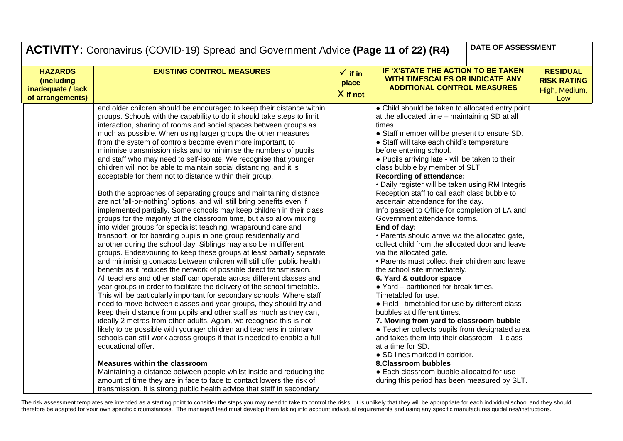|                                                                              | DATE OF ASSESSMENT<br><b>ACTIVITY:</b> Coronavirus (COVID-19) Spread and Government Advice (Page 11 of 22) (R4)                                                                                                                                                                                                                                                                                                                                                                                                                                                                                                                                                                                                                                                                                                                                                                                                                                                                                                                                                                                                                                                                                                                                                                                                                                                                                                                                                                                                                                                                                                                                                                                                                                                                                                                                                                                                                                                                                                                                                                                                                                                                                                                                                     |                                           |                                                                                                                                                                                                                                                                                                                                                                                                                                                                                                                                                                                                                                                                                                                                                                                                                                                                                                                                                                                                                                                                                                                                                                                                                                                                                                                                          |                                                               |  |
|------------------------------------------------------------------------------|---------------------------------------------------------------------------------------------------------------------------------------------------------------------------------------------------------------------------------------------------------------------------------------------------------------------------------------------------------------------------------------------------------------------------------------------------------------------------------------------------------------------------------------------------------------------------------------------------------------------------------------------------------------------------------------------------------------------------------------------------------------------------------------------------------------------------------------------------------------------------------------------------------------------------------------------------------------------------------------------------------------------------------------------------------------------------------------------------------------------------------------------------------------------------------------------------------------------------------------------------------------------------------------------------------------------------------------------------------------------------------------------------------------------------------------------------------------------------------------------------------------------------------------------------------------------------------------------------------------------------------------------------------------------------------------------------------------------------------------------------------------------------------------------------------------------------------------------------------------------------------------------------------------------------------------------------------------------------------------------------------------------------------------------------------------------------------------------------------------------------------------------------------------------------------------------------------------------------------------------------------------------|-------------------------------------------|------------------------------------------------------------------------------------------------------------------------------------------------------------------------------------------------------------------------------------------------------------------------------------------------------------------------------------------------------------------------------------------------------------------------------------------------------------------------------------------------------------------------------------------------------------------------------------------------------------------------------------------------------------------------------------------------------------------------------------------------------------------------------------------------------------------------------------------------------------------------------------------------------------------------------------------------------------------------------------------------------------------------------------------------------------------------------------------------------------------------------------------------------------------------------------------------------------------------------------------------------------------------------------------------------------------------------------------|---------------------------------------------------------------|--|
| <b>HAZARDS</b><br><i>(including</i><br>inadequate / lack<br>of arrangements) | <b>EXISTING CONTROL MEASURES</b>                                                                                                                                                                                                                                                                                                                                                                                                                                                                                                                                                                                                                                                                                                                                                                                                                                                                                                                                                                                                                                                                                                                                                                                                                                                                                                                                                                                                                                                                                                                                                                                                                                                                                                                                                                                                                                                                                                                                                                                                                                                                                                                                                                                                                                    | $\checkmark$ if in<br>place<br>$X$ if not | IF 'X'STATE THE ACTION TO BE TAKEN<br><b>WITH TIMESCALES OR INDICATE ANY</b><br><b>ADDITIONAL CONTROL MEASURES</b>                                                                                                                                                                                                                                                                                                                                                                                                                                                                                                                                                                                                                                                                                                                                                                                                                                                                                                                                                                                                                                                                                                                                                                                                                       | <b>RESIDUAL</b><br><b>RISK RATING</b><br>High, Medium,<br>Low |  |
|                                                                              | and older children should be encouraged to keep their distance within<br>groups. Schools with the capability to do it should take steps to limit<br>interaction, sharing of rooms and social spaces between groups as<br>much as possible. When using larger groups the other measures<br>from the system of controls become even more important, to<br>minimise transmission risks and to minimise the numbers of pupils<br>and staff who may need to self-isolate. We recognise that younger<br>children will not be able to maintain social distancing, and it is<br>acceptable for them not to distance within their group.<br>Both the approaches of separating groups and maintaining distance<br>are not 'all-or-nothing' options, and will still bring benefits even if<br>implemented partially. Some schools may keep children in their class<br>groups for the majority of the classroom time, but also allow mixing<br>into wider groups for specialist teaching, wraparound care and<br>transport, or for boarding pupils in one group residentially and<br>another during the school day. Siblings may also be in different<br>groups. Endeavouring to keep these groups at least partially separate<br>and minimising contacts between children will still offer public health<br>benefits as it reduces the network of possible direct transmission.<br>All teachers and other staff can operate across different classes and<br>year groups in order to facilitate the delivery of the school timetable.<br>This will be particularly important for secondary schools. Where staff<br>need to move between classes and year groups, they should try and<br>keep their distance from pupils and other staff as much as they can,<br>ideally 2 metres from other adults. Again, we recognise this is not<br>likely to be possible with younger children and teachers in primary<br>schools can still work across groups if that is needed to enable a full<br>educational offer.<br><b>Measures within the classroom</b><br>Maintaining a distance between people whilst inside and reducing the<br>amount of time they are in face to face to contact lowers the risk of<br>transmission. It is strong public health advice that staff in secondary |                                           | • Child should be taken to allocated entry point<br>at the allocated time - maintaining SD at all<br>times.<br>• Staff member will be present to ensure SD.<br>• Staff will take each child's temperature<br>before entering school.<br>• Pupils arriving late - will be taken to their<br>class bubble by member of SLT.<br><b>Recording of attendance:</b><br>• Daily register will be taken using RM Integris.<br>Reception staff to call each class bubble to<br>ascertain attendance for the day.<br>Info passed to Office for completion of LA and<br>Government attendance forms.<br>End of day:<br>• Parents should arrive via the allocated gate,<br>collect child from the allocated door and leave<br>via the allocated gate.<br>• Parents must collect their children and leave<br>the school site immediately.<br>6. Yard & outdoor space<br>• Yard - partitioned for break times.<br>Timetabled for use.<br>• Field - timetabled for use by different class<br>bubbles at different times.<br>7. Moving from yard to classroom bubble<br>• Teacher collects pupils from designated area<br>and takes them into their classroom - 1 class<br>at a time for SD.<br>• SD lines marked in corridor.<br><b>8.Classroom bubbles</b><br>• Each classroom bubble allocated for use<br>during this period has been measured by SLT. |                                                               |  |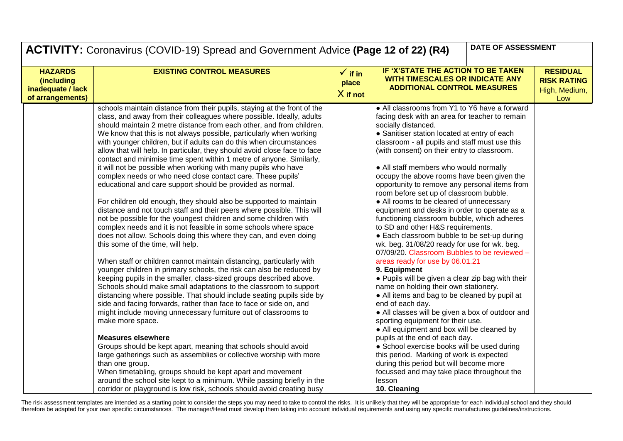| <b>DATE OF ASSESSMENT</b><br><b>ACTIVITY:</b> Coronavirus (COVID-19) Spread and Government Advice (Page 12 of 22) (R4) |                                                                                                                                                                                                                                                                                                                                                                                                                                                                                                                                                                                                                                                                                                                                                                                                                                                                                                                                                                                                                                                                                                                               |                                           |                                                                                                                                                                                                                                                                                                                                                                                                                                                                                                                                                                                                                                                                                                                                                                                            |  |                                                               |
|------------------------------------------------------------------------------------------------------------------------|-------------------------------------------------------------------------------------------------------------------------------------------------------------------------------------------------------------------------------------------------------------------------------------------------------------------------------------------------------------------------------------------------------------------------------------------------------------------------------------------------------------------------------------------------------------------------------------------------------------------------------------------------------------------------------------------------------------------------------------------------------------------------------------------------------------------------------------------------------------------------------------------------------------------------------------------------------------------------------------------------------------------------------------------------------------------------------------------------------------------------------|-------------------------------------------|--------------------------------------------------------------------------------------------------------------------------------------------------------------------------------------------------------------------------------------------------------------------------------------------------------------------------------------------------------------------------------------------------------------------------------------------------------------------------------------------------------------------------------------------------------------------------------------------------------------------------------------------------------------------------------------------------------------------------------------------------------------------------------------------|--|---------------------------------------------------------------|
| <b>HAZARDS</b><br>(including<br>inadequate / lack<br>of arrangements)                                                  | <b>EXISTING CONTROL MEASURES</b>                                                                                                                                                                                                                                                                                                                                                                                                                                                                                                                                                                                                                                                                                                                                                                                                                                                                                                                                                                                                                                                                                              | $\checkmark$ if in<br>place<br>$X$ if not | IF 'X'STATE THE ACTION TO BE TAKEN<br><b>WITH TIMESCALES OR INDICATE ANY</b><br><b>ADDITIONAL CONTROL MEASURES</b>                                                                                                                                                                                                                                                                                                                                                                                                                                                                                                                                                                                                                                                                         |  | <b>RESIDUAL</b><br><b>RISK RATING</b><br>High, Medium,<br>Low |
|                                                                                                                        | schools maintain distance from their pupils, staying at the front of the<br>class, and away from their colleagues where possible. Ideally, adults<br>should maintain 2 metre distance from each other, and from children.<br>We know that this is not always possible, particularly when working<br>with younger children, but if adults can do this when circumstances<br>allow that will help. In particular, they should avoid close face to face<br>contact and minimise time spent within 1 metre of anyone. Similarly,<br>it will not be possible when working with many pupils who have<br>complex needs or who need close contact care. These pupils'<br>educational and care support should be provided as normal.<br>For children old enough, they should also be supported to maintain<br>distance and not touch staff and their peers where possible. This will<br>not be possible for the youngest children and some children with<br>complex needs and it is not feasible in some schools where space<br>does not allow. Schools doing this where they can, and even doing<br>this some of the time, will help. |                                           | • All classrooms from Y1 to Y6 have a forward<br>facing desk with an area for teacher to remain<br>socially distanced.<br>• Sanitiser station located at entry of each<br>classroom - all pupils and staff must use this<br>(with consent) on their entry to classroom.<br>• All staff members who would normally<br>occupy the above rooms have been given the<br>opportunity to remove any personal items from<br>room before set up of classroom bubble.<br>• All rooms to be cleared of unnecessary<br>equipment and desks in order to operate as a<br>functioning classroom bubble, which adheres<br>to SD and other H&S requirements.<br>• Each classroom bubble to be set-up during<br>wk. beg. 31/08/20 ready for use for wk. beg.<br>07/09/20. Classroom Bubbles to be reviewed - |  |                                                               |
|                                                                                                                        | When staff or children cannot maintain distancing, particularly with<br>younger children in primary schools, the risk can also be reduced by<br>keeping pupils in the smaller, class-sized groups described above.<br>Schools should make small adaptations to the classroom to support<br>distancing where possible. That should include seating pupils side by<br>side and facing forwards, rather than face to face or side on, and<br>might include moving unnecessary furniture out of classrooms to<br>make more space.<br><b>Measures elsewhere</b><br>Groups should be kept apart, meaning that schools should avoid<br>large gatherings such as assemblies or collective worship with more<br>than one group.<br>When timetabling, groups should be kept apart and movement<br>around the school site kept to a minimum. While passing briefly in the<br>corridor or playground is low risk, schools should avoid creating busy                                                                                                                                                                                      |                                           | areas ready for use by 06.01.21<br>9. Equipment<br>• Pupils will be given a clear zip bag with their<br>name on holding their own stationery.<br>• All items and bag to be cleaned by pupil at<br>end of each day.<br>• All classes will be given a box of outdoor and<br>sporting equipment for their use.<br>• All equipment and box will be cleaned by<br>pupils at the end of each day.<br>• School exercise books will be used during<br>this period. Marking of work is expected<br>during this period but will become more<br>focussed and may take place throughout the<br>lesson<br>10. Cleaning                                                                                                                                                                                  |  |                                                               |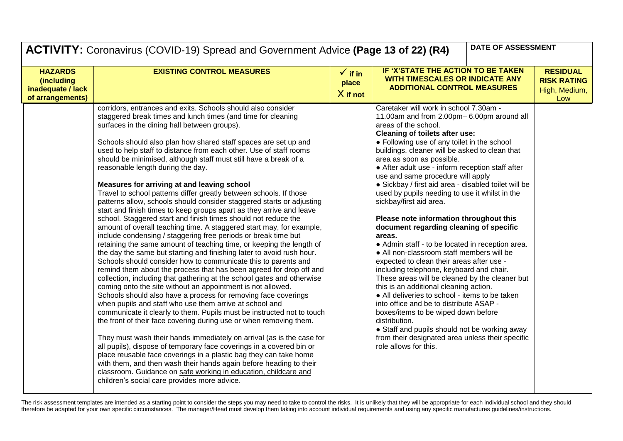| <b>DATE OF ASSESSMENT</b><br><b>ACTIVITY:</b> Coronavirus (COVID-19) Spread and Government Advice (Page 13 of 22) (R4) |                                                                                                                                                                                                                                                                                                                                                                                                                                                                                                                                                                                                                                                                                                                                                                                                                                                                                                                                                                                                                                                                                                                                                                                                                                                                                                                                                                                                                                                                                                                                                                                                                                                                                                                                                                                                                                                                                                                                                                                                                                                 |                                           |                                                                                                                                                                                                                                                                                                                                                                                                                                                                                                                                                                                                                                                                                                                                                                                                                                                                                                                                                                                                                                                                                                                                                                                     |                                                               |
|------------------------------------------------------------------------------------------------------------------------|-------------------------------------------------------------------------------------------------------------------------------------------------------------------------------------------------------------------------------------------------------------------------------------------------------------------------------------------------------------------------------------------------------------------------------------------------------------------------------------------------------------------------------------------------------------------------------------------------------------------------------------------------------------------------------------------------------------------------------------------------------------------------------------------------------------------------------------------------------------------------------------------------------------------------------------------------------------------------------------------------------------------------------------------------------------------------------------------------------------------------------------------------------------------------------------------------------------------------------------------------------------------------------------------------------------------------------------------------------------------------------------------------------------------------------------------------------------------------------------------------------------------------------------------------------------------------------------------------------------------------------------------------------------------------------------------------------------------------------------------------------------------------------------------------------------------------------------------------------------------------------------------------------------------------------------------------------------------------------------------------------------------------------------------------|-------------------------------------------|-------------------------------------------------------------------------------------------------------------------------------------------------------------------------------------------------------------------------------------------------------------------------------------------------------------------------------------------------------------------------------------------------------------------------------------------------------------------------------------------------------------------------------------------------------------------------------------------------------------------------------------------------------------------------------------------------------------------------------------------------------------------------------------------------------------------------------------------------------------------------------------------------------------------------------------------------------------------------------------------------------------------------------------------------------------------------------------------------------------------------------------------------------------------------------------|---------------------------------------------------------------|
| <b>HAZARDS</b><br>(including<br>inadequate / lack<br>of arrangements)                                                  | <b>EXISTING CONTROL MEASURES</b>                                                                                                                                                                                                                                                                                                                                                                                                                                                                                                                                                                                                                                                                                                                                                                                                                                                                                                                                                                                                                                                                                                                                                                                                                                                                                                                                                                                                                                                                                                                                                                                                                                                                                                                                                                                                                                                                                                                                                                                                                | $\checkmark$ if in<br>place<br>$X$ if not | IF 'X'STATE THE ACTION TO BE TAKEN<br>WITH TIMESCALES OR INDICATE ANY<br><b>ADDITIONAL CONTROL MEASURES</b>                                                                                                                                                                                                                                                                                                                                                                                                                                                                                                                                                                                                                                                                                                                                                                                                                                                                                                                                                                                                                                                                         | <b>RESIDUAL</b><br><b>RISK RATING</b><br>High, Medium,<br>Low |
|                                                                                                                        | corridors, entrances and exits. Schools should also consider<br>staggered break times and lunch times (and time for cleaning<br>surfaces in the dining hall between groups).<br>Schools should also plan how shared staff spaces are set up and<br>used to help staff to distance from each other. Use of staff rooms<br>should be minimised, although staff must still have a break of a<br>reasonable length during the day.<br>Measures for arriving at and leaving school<br>Travel to school patterns differ greatly between schools. If those<br>patterns allow, schools should consider staggered starts or adjusting<br>start and finish times to keep groups apart as they arrive and leave<br>school. Staggered start and finish times should not reduce the<br>amount of overall teaching time. A staggered start may, for example,<br>include condensing / staggering free periods or break time but<br>retaining the same amount of teaching time, or keeping the length of<br>the day the same but starting and finishing later to avoid rush hour.<br>Schools should consider how to communicate this to parents and<br>remind them about the process that has been agreed for drop off and<br>collection, including that gathering at the school gates and otherwise<br>coming onto the site without an appointment is not allowed.<br>Schools should also have a process for removing face coverings<br>when pupils and staff who use them arrive at school and<br>communicate it clearly to them. Pupils must be instructed not to touch<br>the front of their face covering during use or when removing them.<br>They must wash their hands immediately on arrival (as is the case for<br>all pupils), dispose of temporary face coverings in a covered bin or<br>place reusable face coverings in a plastic bag they can take home<br>with them, and then wash their hands again before heading to their<br>classroom. Guidance on safe working in education, childcare and<br>children's social care provides more advice. |                                           | Caretaker will work in school 7.30am -<br>11.00am and from 2.00pm- 6.00pm around all<br>areas of the school.<br>Cleaning of toilets after use:<br>• Following use of any toilet in the school<br>buildings, cleaner will be asked to clean that<br>area as soon as possible.<br>• After adult use - inform reception staff after<br>use and same procedure will apply<br>· Sickbay / first aid area - disabled toilet will be<br>used by pupils needing to use it whilst in the<br>sickbay/first aid area.<br>Please note information throughout this<br>document regarding cleaning of specific<br>areas.<br>• Admin staff - to be located in reception area.<br>• All non-classroom staff members will be<br>expected to clean their areas after use -<br>including telephone, keyboard and chair.<br>These areas will be cleaned by the cleaner but<br>this is an additional cleaning action.<br>• All deliveries to school - items to be taken<br>into office and be to distribute ASAP -<br>boxes/items to be wiped down before<br>distribution.<br>• Staff and pupils should not be working away<br>from their designated area unless their specific<br>role allows for this. |                                                               |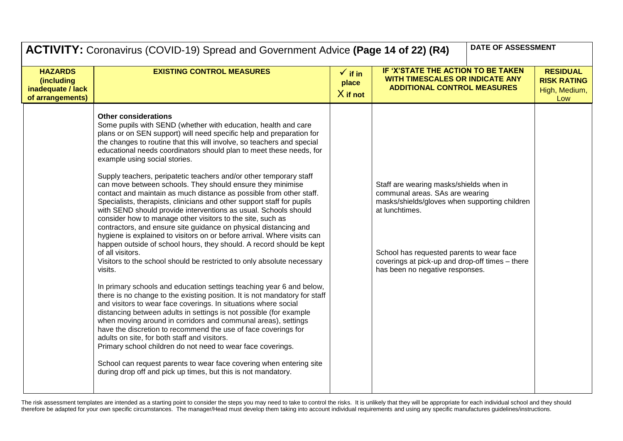|                                                                       | <b>DATE OF ASSESSMENT</b><br><b>ACTIVITY:</b> Coronavirus (COVID-19) Spread and Government Advice (Page 14 of 22) (R4)                                                                                                                                                                                                                                                                                                                                                                                                                                                                                                                                                                                                                                                                                                                                                                                                                                                                                                                                                                                                                                                                                                                                                                                                                                                                                                                                                                                                                                                                                                                                                                                                                                                                                 |                                           |                                                                                                                                                                                                                                                                                  |                                                               |
|-----------------------------------------------------------------------|--------------------------------------------------------------------------------------------------------------------------------------------------------------------------------------------------------------------------------------------------------------------------------------------------------------------------------------------------------------------------------------------------------------------------------------------------------------------------------------------------------------------------------------------------------------------------------------------------------------------------------------------------------------------------------------------------------------------------------------------------------------------------------------------------------------------------------------------------------------------------------------------------------------------------------------------------------------------------------------------------------------------------------------------------------------------------------------------------------------------------------------------------------------------------------------------------------------------------------------------------------------------------------------------------------------------------------------------------------------------------------------------------------------------------------------------------------------------------------------------------------------------------------------------------------------------------------------------------------------------------------------------------------------------------------------------------------------------------------------------------------------------------------------------------------|-------------------------------------------|----------------------------------------------------------------------------------------------------------------------------------------------------------------------------------------------------------------------------------------------------------------------------------|---------------------------------------------------------------|
| <b>HAZARDS</b><br>(including<br>inadequate / lack<br>of arrangements) | <b>EXISTING CONTROL MEASURES</b>                                                                                                                                                                                                                                                                                                                                                                                                                                                                                                                                                                                                                                                                                                                                                                                                                                                                                                                                                                                                                                                                                                                                                                                                                                                                                                                                                                                                                                                                                                                                                                                                                                                                                                                                                                       | $\checkmark$ if in<br>place<br>$X$ if not | IF 'X'STATE THE ACTION TO BE TAKEN<br><b>WITH TIMESCALES OR INDICATE ANY</b><br><b>ADDITIONAL CONTROL MEASURES</b>                                                                                                                                                               | <b>RESIDUAL</b><br><b>RISK RATING</b><br>High, Medium,<br>Low |
|                                                                       | <b>Other considerations</b><br>Some pupils with SEND (whether with education, health and care<br>plans or on SEN support) will need specific help and preparation for<br>the changes to routine that this will involve, so teachers and special<br>educational needs coordinators should plan to meet these needs, for<br>example using social stories.<br>Supply teachers, peripatetic teachers and/or other temporary staff<br>can move between schools. They should ensure they minimise<br>contact and maintain as much distance as possible from other staff.<br>Specialists, therapists, clinicians and other support staff for pupils<br>with SEND should provide interventions as usual. Schools should<br>consider how to manage other visitors to the site, such as<br>contractors, and ensure site guidance on physical distancing and<br>hygiene is explained to visitors on or before arrival. Where visits can<br>happen outside of school hours, they should. A record should be kept<br>of all visitors.<br>Visitors to the school should be restricted to only absolute necessary<br>visits.<br>In primary schools and education settings teaching year 6 and below,<br>there is no change to the existing position. It is not mandatory for staff<br>and visitors to wear face coverings. In situations where social<br>distancing between adults in settings is not possible (for example<br>when moving around in corridors and communal areas), settings<br>have the discretion to recommend the use of face coverings for<br>adults on site, for both staff and visitors.<br>Primary school children do not need to wear face coverings.<br>School can request parents to wear face covering when entering site<br>during drop off and pick up times, but this is not mandatory. |                                           | Staff are wearing masks/shields when in<br>communal areas. SAs are wearing<br>masks/shields/gloves when supporting children<br>at lunchtimes.<br>School has requested parents to wear face<br>coverings at pick-up and drop-off times - there<br>has been no negative responses. |                                                               |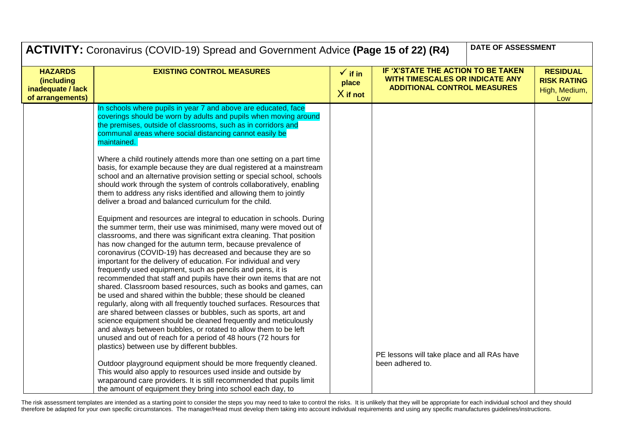|                                                                              | DATE OF ASSESSMENT<br><b>ACTIVITY:</b> Coronavirus (COVID-19) Spread and Government Advice (Page 15 of 22) (R4)                                                                                                                                                                                                                                                                                                                                                                                                                                                                                                                                                                                                                                                                                                                                                                                                                                                                                                                                                                              |                                           |                                                                                                             |  |                                                               |
|------------------------------------------------------------------------------|----------------------------------------------------------------------------------------------------------------------------------------------------------------------------------------------------------------------------------------------------------------------------------------------------------------------------------------------------------------------------------------------------------------------------------------------------------------------------------------------------------------------------------------------------------------------------------------------------------------------------------------------------------------------------------------------------------------------------------------------------------------------------------------------------------------------------------------------------------------------------------------------------------------------------------------------------------------------------------------------------------------------------------------------------------------------------------------------|-------------------------------------------|-------------------------------------------------------------------------------------------------------------|--|---------------------------------------------------------------|
| <b>HAZARDS</b><br><i>(including</i><br>inadequate / lack<br>of arrangements) | <b>EXISTING CONTROL MEASURES</b>                                                                                                                                                                                                                                                                                                                                                                                                                                                                                                                                                                                                                                                                                                                                                                                                                                                                                                                                                                                                                                                             | $\checkmark$ if in<br>place<br>$X$ if not | IF 'X'STATE THE ACTION TO BE TAKEN<br>WITH TIMESCALES OR INDICATE ANY<br><b>ADDITIONAL CONTROL MEASURES</b> |  | <b>RESIDUAL</b><br><b>RISK RATING</b><br>High, Medium,<br>Low |
|                                                                              | In schools where pupils in year 7 and above are educated, face<br>coverings should be worn by adults and pupils when moving around<br>the premises, outside of classrooms, such as in corridors and<br>communal areas where social distancing cannot easily be<br>maintained.                                                                                                                                                                                                                                                                                                                                                                                                                                                                                                                                                                                                                                                                                                                                                                                                                |                                           |                                                                                                             |  |                                                               |
|                                                                              | Where a child routinely attends more than one setting on a part time<br>basis, for example because they are dual registered at a mainstream<br>school and an alternative provision setting or special school, schools<br>should work through the system of controls collaboratively, enabling<br>them to address any risks identified and allowing them to jointly<br>deliver a broad and balanced curriculum for the child.                                                                                                                                                                                                                                                                                                                                                                                                                                                                                                                                                                                                                                                                 |                                           |                                                                                                             |  |                                                               |
|                                                                              | Equipment and resources are integral to education in schools. During<br>the summer term, their use was minimised, many were moved out of<br>classrooms, and there was significant extra cleaning. That position<br>has now changed for the autumn term, because prevalence of<br>coronavirus (COVID-19) has decreased and because they are so<br>important for the delivery of education. For individual and very<br>frequently used equipment, such as pencils and pens, it is<br>recommended that staff and pupils have their own items that are not<br>shared. Classroom based resources, such as books and games, can<br>be used and shared within the bubble; these should be cleaned<br>regularly, along with all frequently touched surfaces. Resources that<br>are shared between classes or bubbles, such as sports, art and<br>science equipment should be cleaned frequently and meticulously<br>and always between bubbles, or rotated to allow them to be left<br>unused and out of reach for a period of 48 hours (72 hours for<br>plastics) between use by different bubbles. |                                           | PE lessons will take place and all RAs have                                                                 |  |                                                               |
|                                                                              | Outdoor playground equipment should be more frequently cleaned.<br>This would also apply to resources used inside and outside by<br>wraparound care providers. It is still recommended that pupils limit<br>the amount of equipment they bring into school each day, to                                                                                                                                                                                                                                                                                                                                                                                                                                                                                                                                                                                                                                                                                                                                                                                                                      |                                           | been adhered to.                                                                                            |  |                                                               |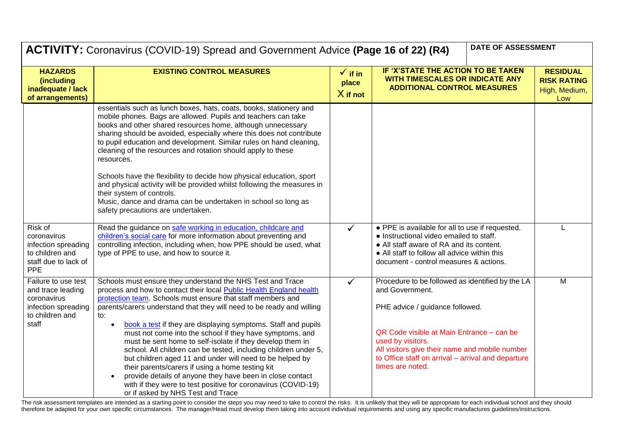|                                                                                                            | <b>ACTIVITY:</b> Coronavirus (COVID-19) Spread and Government Advice (Page 16 of 22) (R4)                                                                                                                                                                                                                                                                                                                                                                                                                                                                                                                                                                                                                                                                                                                                        |                                           | DATE OF ASSESSMENT                                                                                                                                                                                                                                                                                   |                                                               |
|------------------------------------------------------------------------------------------------------------|----------------------------------------------------------------------------------------------------------------------------------------------------------------------------------------------------------------------------------------------------------------------------------------------------------------------------------------------------------------------------------------------------------------------------------------------------------------------------------------------------------------------------------------------------------------------------------------------------------------------------------------------------------------------------------------------------------------------------------------------------------------------------------------------------------------------------------|-------------------------------------------|------------------------------------------------------------------------------------------------------------------------------------------------------------------------------------------------------------------------------------------------------------------------------------------------------|---------------------------------------------------------------|
| <b>HAZARDS</b><br>(including<br>inadequate / lack<br>of arrangements)                                      | <b>EXISTING CONTROL MEASURES</b>                                                                                                                                                                                                                                                                                                                                                                                                                                                                                                                                                                                                                                                                                                                                                                                                 | $\checkmark$ if in<br>place<br>$X$ if not | IF 'X'STATE THE ACTION TO BE TAKEN<br>WITH TIMESCALES OR INDICATE ANY<br><b>ADDITIONAL CONTROL MEASURES</b>                                                                                                                                                                                          | <b>RESIDUAL</b><br><b>RISK RATING</b><br>High, Medium,<br>Low |
| Risk of                                                                                                    | essentials such as lunch boxes, hats, coats, books, stationery and<br>mobile phones. Bags are allowed. Pupils and teachers can take<br>books and other shared resources home, although unnecessary<br>sharing should be avoided, especially where this does not contribute<br>to pupil education and development. Similar rules on hand cleaning,<br>cleaning of the resources and rotation should apply to these<br>resources.<br>Schools have the flexibility to decide how physical education, sport<br>and physical activity will be provided whilst following the measures in<br>their system of controls.<br>Music, dance and drama can be undertaken in school so long as<br>safety precautions are undertaken.<br>Read the guidance on safe working in education, childcare and                                          | $\checkmark$                              | • PPE is available for all to use if requested.                                                                                                                                                                                                                                                      |                                                               |
| coronavirus<br>infection spreading<br>to children and<br>staff due to lack of<br><b>PPE</b>                | children's social care for more information about preventing and<br>controlling infection, including when, how PPE should be used, what<br>type of PPE to use, and how to source it.                                                                                                                                                                                                                                                                                                                                                                                                                                                                                                                                                                                                                                             |                                           | • Instructional video emailed to staff.<br>• All staff aware of RA and its content.<br>• All staff to follow all advice within this<br>document - control measures & actions.                                                                                                                        |                                                               |
| Failure to use test<br>and trace leading<br>coronavirus<br>infection spreading<br>to children and<br>staff | Schools must ensure they understand the NHS Test and Trace<br>process and how to contact their local Public Health England health<br>protection team. Schools must ensure that staff members and<br>parents/carers understand that they will need to be ready and willing<br>to:<br>book a test if they are displaying symptoms. Staff and pupils<br>must not come into the school if they have symptoms, and<br>must be sent home to self-isolate if they develop them in<br>school. All children can be tested, including children under 5,<br>but children aged 11 and under will need to be helped by<br>their parents/carers if using a home testing kit<br>provide details of anyone they have been in close contact<br>with if they were to test positive for coronavirus (COVID-19)<br>or if asked by NHS Test and Trace | ✓                                         | Procedure to be followed as identified by the LA<br>and Government.<br>PHE advice / guidance followed.<br>QR Code visible at Main Entrance - can be<br>used by visitors.<br>All visitors give their name and mobile number<br>to Office staff on arrival - arrival and departure<br>times are noted. | M                                                             |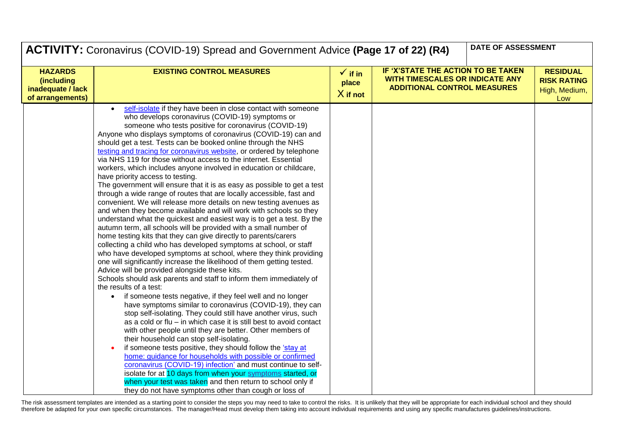|                                                                       | DATE OF ASSESSMENT<br>ACTIVITY: Coronavirus (COVID-19) Spread and Government Advice (Page 17 of 22) (R4)                                                                                                                                                                                                                                                                                                                                                                                                                                                                                                                                                                                                                                                                                                                                                                                                                                                                                                                                                                                                                                                                                                                                                                                                                                                                                                                                                                                                                                                                                                                                                                                                                                                                                                                                                                                                                                                                                                                                                                                                                                                                                                                    |                                           |                                                                                                                    |  |                                                               |
|-----------------------------------------------------------------------|-----------------------------------------------------------------------------------------------------------------------------------------------------------------------------------------------------------------------------------------------------------------------------------------------------------------------------------------------------------------------------------------------------------------------------------------------------------------------------------------------------------------------------------------------------------------------------------------------------------------------------------------------------------------------------------------------------------------------------------------------------------------------------------------------------------------------------------------------------------------------------------------------------------------------------------------------------------------------------------------------------------------------------------------------------------------------------------------------------------------------------------------------------------------------------------------------------------------------------------------------------------------------------------------------------------------------------------------------------------------------------------------------------------------------------------------------------------------------------------------------------------------------------------------------------------------------------------------------------------------------------------------------------------------------------------------------------------------------------------------------------------------------------------------------------------------------------------------------------------------------------------------------------------------------------------------------------------------------------------------------------------------------------------------------------------------------------------------------------------------------------------------------------------------------------------------------------------------------------|-------------------------------------------|--------------------------------------------------------------------------------------------------------------------|--|---------------------------------------------------------------|
| <b>HAZARDS</b><br>(including<br>inadequate / lack<br>of arrangements) | <b>EXISTING CONTROL MEASURES</b>                                                                                                                                                                                                                                                                                                                                                                                                                                                                                                                                                                                                                                                                                                                                                                                                                                                                                                                                                                                                                                                                                                                                                                                                                                                                                                                                                                                                                                                                                                                                                                                                                                                                                                                                                                                                                                                                                                                                                                                                                                                                                                                                                                                            | $\checkmark$ if in<br>place<br>$X$ if not | IF 'X'STATE THE ACTION TO BE TAKEN<br><b>WITH TIMESCALES OR INDICATE ANY</b><br><b>ADDITIONAL CONTROL MEASURES</b> |  | <b>RESIDUAL</b><br><b>RISK RATING</b><br>High, Medium,<br>Low |
|                                                                       | self-isolate if they have been in close contact with someone<br>who develops coronavirus (COVID-19) symptoms or<br>someone who tests positive for coronavirus (COVID-19)<br>Anyone who displays symptoms of coronavirus (COVID-19) can and<br>should get a test. Tests can be booked online through the NHS<br>testing and tracing for coronavirus website, or ordered by telephone<br>via NHS 119 for those without access to the internet. Essential<br>workers, which includes anyone involved in education or childcare,<br>have priority access to testing.<br>The government will ensure that it is as easy as possible to get a test<br>through a wide range of routes that are locally accessible, fast and<br>convenient. We will release more details on new testing avenues as<br>and when they become available and will work with schools so they<br>understand what the quickest and easiest way is to get a test. By the<br>autumn term, all schools will be provided with a small number of<br>home testing kits that they can give directly to parents/carers<br>collecting a child who has developed symptoms at school, or staff<br>who have developed symptoms at school, where they think providing<br>one will significantly increase the likelihood of them getting tested.<br>Advice will be provided alongside these kits.<br>Schools should ask parents and staff to inform them immediately of<br>the results of a test:<br>if someone tests negative, if they feel well and no longer<br>$\bullet$<br>have symptoms similar to coronavirus (COVID-19), they can<br>stop self-isolating. They could still have another virus, such<br>as a cold or flu – in which case it is still best to avoid contact<br>with other people until they are better. Other members of<br>their household can stop self-isolating.<br>if someone tests positive, they should follow the 'stay at<br>home: guidance for households with possible or confirmed<br>coronavirus (COVID-19) infection' and must continue to self-<br>isolate for at 10 days from when your symptoms started, or<br>when your test was taken and then return to school only if<br>they do not have symptoms other than cough or loss of |                                           |                                                                                                                    |  |                                                               |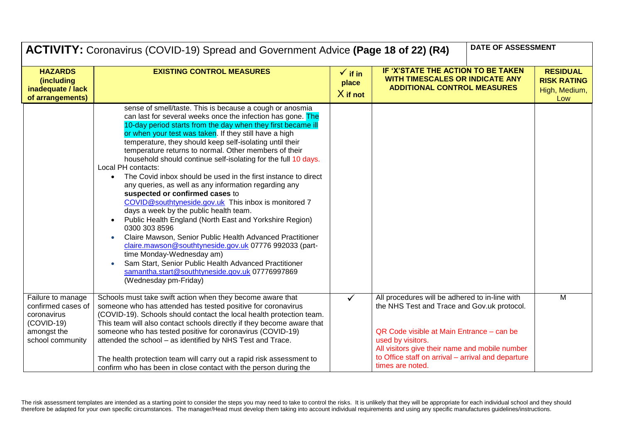|                                                                                                           | DATE OF ASSESSMENT<br><b>ACTIVITY:</b> Coronavirus (COVID-19) Spread and Government Advice (Page 18 of 22) (R4)                                                                                                                                                                                                                                                                                                                                                                                                                                                                                                                                                                                                                                                                                                                                                                                                                                                                                                                                                                                                  |                                           |                                                                                                                                                                                                                                                                                             |  |                                                               |
|-----------------------------------------------------------------------------------------------------------|------------------------------------------------------------------------------------------------------------------------------------------------------------------------------------------------------------------------------------------------------------------------------------------------------------------------------------------------------------------------------------------------------------------------------------------------------------------------------------------------------------------------------------------------------------------------------------------------------------------------------------------------------------------------------------------------------------------------------------------------------------------------------------------------------------------------------------------------------------------------------------------------------------------------------------------------------------------------------------------------------------------------------------------------------------------------------------------------------------------|-------------------------------------------|---------------------------------------------------------------------------------------------------------------------------------------------------------------------------------------------------------------------------------------------------------------------------------------------|--|---------------------------------------------------------------|
| <b>HAZARDS</b><br>(including<br>inadequate / lack<br>of arrangements)                                     | <b>EXISTING CONTROL MEASURES</b>                                                                                                                                                                                                                                                                                                                                                                                                                                                                                                                                                                                                                                                                                                                                                                                                                                                                                                                                                                                                                                                                                 | $\checkmark$ if in<br>place<br>$X$ if not | IF 'X'STATE THE ACTION TO BE TAKEN<br><b>WITH TIMESCALES OR INDICATE ANY</b><br><b>ADDITIONAL CONTROL MEASURES</b>                                                                                                                                                                          |  | <b>RESIDUAL</b><br><b>RISK RATING</b><br>High, Medium,<br>Low |
|                                                                                                           | sense of smell/taste. This is because a cough or anosmia<br>can last for several weeks once the infection has gone. The<br>10-day period starts from the day when they first became ill<br>or when your test was taken. If they still have a high<br>temperature, they should keep self-isolating until their<br>temperature returns to normal. Other members of their<br>household should continue self-isolating for the full 10 days.<br>Local PH contacts:<br>The Covid inbox should be used in the first instance to direct<br>$\bullet$<br>any queries, as well as any information regarding any<br>suspected or confirmed cases to<br>COVID@southtyneside.gov.uk This inbox is monitored 7<br>days a week by the public health team.<br>Public Health England (North East and Yorkshire Region)<br>0300 303 8596<br>Claire Mawson, Senior Public Health Advanced Practitioner<br>claire.mawson@southtyneside.gov.uk 07776 992033 (part-<br>time Monday-Wednesday am)<br>Sam Start, Senior Public Health Advanced Practitioner<br>samantha.start@southtyneside.gov.uk 07776997869<br>(Wednesday pm-Friday) |                                           |                                                                                                                                                                                                                                                                                             |  |                                                               |
| Failure to manage<br>confirmed cases of<br>coronavirus<br>$(COVID-19)$<br>amongst the<br>school community | Schools must take swift action when they become aware that<br>someone who has attended has tested positive for coronavirus<br>(COVID-19). Schools should contact the local health protection team.<br>This team will also contact schools directly if they become aware that<br>someone who has tested positive for coronavirus (COVID-19)<br>attended the school - as identified by NHS Test and Trace.<br>The health protection team will carry out a rapid risk assessment to<br>confirm who has been in close contact with the person during the                                                                                                                                                                                                                                                                                                                                                                                                                                                                                                                                                             | $\checkmark$                              | All procedures will be adhered to in-line with<br>the NHS Test and Trace and Gov.uk protocol.<br>QR Code visible at Main Entrance - can be<br>used by visitors.<br>All visitors give their name and mobile number<br>to Office staff on arrival - arrival and departure<br>times are noted. |  | M                                                             |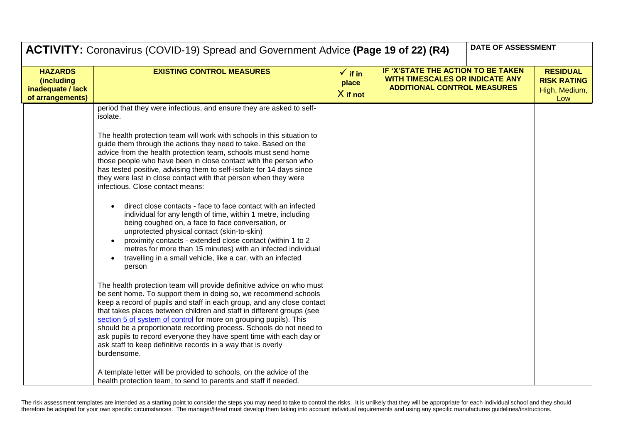|                                                                              | DATE OF ASSESSMENT<br><b>ACTIVITY:</b> Coronavirus (COVID-19) Spread and Government Advice (Page 19 of 22) (R4)                                                                                                                                                                                                                                                                                                                                                                                                                                                                               |                                           |  |                                                                                                                    |  |
|------------------------------------------------------------------------------|-----------------------------------------------------------------------------------------------------------------------------------------------------------------------------------------------------------------------------------------------------------------------------------------------------------------------------------------------------------------------------------------------------------------------------------------------------------------------------------------------------------------------------------------------------------------------------------------------|-------------------------------------------|--|--------------------------------------------------------------------------------------------------------------------|--|
| <b>HAZARDS</b><br><i>(including</i><br>inadequate / lack<br>of arrangements) | <b>EXISTING CONTROL MEASURES</b>                                                                                                                                                                                                                                                                                                                                                                                                                                                                                                                                                              | $\checkmark$ if in<br>place<br>$X$ if not |  | IF 'X'STATE THE ACTION TO BE TAKEN<br><b>WITH TIMESCALES OR INDICATE ANY</b><br><b>ADDITIONAL CONTROL MEASURES</b> |  |
|                                                                              | period that they were infectious, and ensure they are asked to self-<br>isolate.                                                                                                                                                                                                                                                                                                                                                                                                                                                                                                              |                                           |  |                                                                                                                    |  |
|                                                                              | The health protection team will work with schools in this situation to<br>guide them through the actions they need to take. Based on the<br>advice from the health protection team, schools must send home<br>those people who have been in close contact with the person who<br>has tested positive, advising them to self-isolate for 14 days since<br>they were last in close contact with that person when they were<br>infectious. Close contact means:                                                                                                                                  |                                           |  |                                                                                                                    |  |
|                                                                              | direct close contacts - face to face contact with an infected<br>individual for any length of time, within 1 metre, including<br>being coughed on, a face to face conversation, or<br>unprotected physical contact (skin-to-skin)<br>proximity contacts - extended close contact (within 1 to 2<br>metres for more than 15 minutes) with an infected individual<br>travelling in a small vehicle, like a car, with an infected<br>person                                                                                                                                                      |                                           |  |                                                                                                                    |  |
|                                                                              | The health protection team will provide definitive advice on who must<br>be sent home. To support them in doing so, we recommend schools<br>keep a record of pupils and staff in each group, and any close contact<br>that takes places between children and staff in different groups (see<br>section 5 of system of control for more on grouping pupils). This<br>should be a proportionate recording process. Schools do not need to<br>ask pupils to record everyone they have spent time with each day or<br>ask staff to keep definitive records in a way that is overly<br>burdensome. |                                           |  |                                                                                                                    |  |
|                                                                              | A template letter will be provided to schools, on the advice of the<br>health protection team, to send to parents and staff if needed.                                                                                                                                                                                                                                                                                                                                                                                                                                                        |                                           |  |                                                                                                                    |  |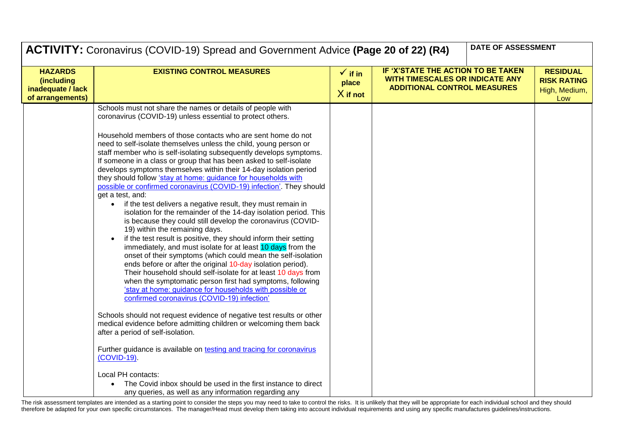|                                                                       | ACTIVITY: Coronavirus (COVID-19) Spread and Government Advice (Page 20 of 22) (R4)                                                                                                                                                                                                                                                                                                                                                                                                                                                                                                                                                                                                                                                                                                                                                                                                                                                                                                                                                                                                                                                                                                                                                                             |                                           | DATE OF ASSESSMENT                                                                                                 |  |
|-----------------------------------------------------------------------|----------------------------------------------------------------------------------------------------------------------------------------------------------------------------------------------------------------------------------------------------------------------------------------------------------------------------------------------------------------------------------------------------------------------------------------------------------------------------------------------------------------------------------------------------------------------------------------------------------------------------------------------------------------------------------------------------------------------------------------------------------------------------------------------------------------------------------------------------------------------------------------------------------------------------------------------------------------------------------------------------------------------------------------------------------------------------------------------------------------------------------------------------------------------------------------------------------------------------------------------------------------|-------------------------------------------|--------------------------------------------------------------------------------------------------------------------|--|
| <b>HAZARDS</b><br>(including<br>inadequate / lack<br>of arrangements) | <b>EXISTING CONTROL MEASURES</b>                                                                                                                                                                                                                                                                                                                                                                                                                                                                                                                                                                                                                                                                                                                                                                                                                                                                                                                                                                                                                                                                                                                                                                                                                               | $\checkmark$ if in<br>place<br>$X$ if not | IF 'X'STATE THE ACTION TO BE TAKEN<br><b>WITH TIMESCALES OR INDICATE ANY</b><br><b>ADDITIONAL CONTROL MEASURES</b> |  |
|                                                                       | Schools must not share the names or details of people with<br>coronavirus (COVID-19) unless essential to protect others.                                                                                                                                                                                                                                                                                                                                                                                                                                                                                                                                                                                                                                                                                                                                                                                                                                                                                                                                                                                                                                                                                                                                       |                                           |                                                                                                                    |  |
|                                                                       | Household members of those contacts who are sent home do not<br>need to self-isolate themselves unless the child, young person or<br>staff member who is self-isolating subsequently develops symptoms.<br>If someone in a class or group that has been asked to self-isolate<br>develops symptoms themselves within their 14-day isolation period<br>they should follow 'stay at home: guidance for households with<br>possible or confirmed coronavirus (COVID-19) infection'. They should<br>get a test, and:<br>if the test delivers a negative result, they must remain in<br>isolation for the remainder of the 14-day isolation period. This<br>is because they could still develop the coronavirus (COVID-<br>19) within the remaining days.<br>if the test result is positive, they should inform their setting<br>immediately, and must isolate for at least 10 days from the<br>onset of their symptoms (which could mean the self-isolation<br>ends before or after the original 10-day isolation period).<br>Their household should self-isolate for at least 10 days from<br>when the symptomatic person first had symptoms, following<br>'stay at home: guidance for households with possible or<br>confirmed coronavirus (COVID-19) infection' |                                           |                                                                                                                    |  |
|                                                                       | Schools should not request evidence of negative test results or other<br>medical evidence before admitting children or welcoming them back<br>after a period of self-isolation.                                                                                                                                                                                                                                                                                                                                                                                                                                                                                                                                                                                                                                                                                                                                                                                                                                                                                                                                                                                                                                                                                |                                           |                                                                                                                    |  |
|                                                                       | Further guidance is available on testing and tracing for coronavirus<br>(COVID-19).                                                                                                                                                                                                                                                                                                                                                                                                                                                                                                                                                                                                                                                                                                                                                                                                                                                                                                                                                                                                                                                                                                                                                                            |                                           |                                                                                                                    |  |
|                                                                       | Local PH contacts:<br>The Covid inbox should be used in the first instance to direct<br>$\bullet$<br>any queries, as well as any information regarding any                                                                                                                                                                                                                                                                                                                                                                                                                                                                                                                                                                                                                                                                                                                                                                                                                                                                                                                                                                                                                                                                                                     |                                           |                                                                                                                    |  |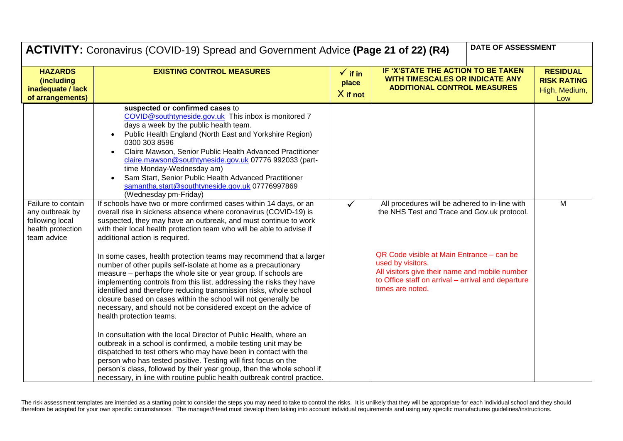|                                                                                              | DATE OF ASSESSMENT<br>ACTIVITY: Coronavirus (COVID-19) Spread and Government Advice (Page 21 of 22) (R4)                                                                                                                                                                                                                                                                                                                                                                                                                                                                                                                                                                                                                                                                                                                                                                                                                                                                                                                                                                                                                                                                                                                                                                                                                                                                                                                                                                                                                                                                                                                                                                                                                                                                                    |                                           |                                                                                                                                                                                                                                                                                             |                                                               |  |
|----------------------------------------------------------------------------------------------|---------------------------------------------------------------------------------------------------------------------------------------------------------------------------------------------------------------------------------------------------------------------------------------------------------------------------------------------------------------------------------------------------------------------------------------------------------------------------------------------------------------------------------------------------------------------------------------------------------------------------------------------------------------------------------------------------------------------------------------------------------------------------------------------------------------------------------------------------------------------------------------------------------------------------------------------------------------------------------------------------------------------------------------------------------------------------------------------------------------------------------------------------------------------------------------------------------------------------------------------------------------------------------------------------------------------------------------------------------------------------------------------------------------------------------------------------------------------------------------------------------------------------------------------------------------------------------------------------------------------------------------------------------------------------------------------------------------------------------------------------------------------------------------------|-------------------------------------------|---------------------------------------------------------------------------------------------------------------------------------------------------------------------------------------------------------------------------------------------------------------------------------------------|---------------------------------------------------------------|--|
| <b>HAZARDS</b><br>(including<br>inadequate / lack<br>of arrangements)                        | <b>EXISTING CONTROL MEASURES</b>                                                                                                                                                                                                                                                                                                                                                                                                                                                                                                                                                                                                                                                                                                                                                                                                                                                                                                                                                                                                                                                                                                                                                                                                                                                                                                                                                                                                                                                                                                                                                                                                                                                                                                                                                            | $\checkmark$ if in<br>place<br>$X$ if not | IF 'X'STATE THE ACTION TO BE TAKEN<br>WITH TIMESCALES OR INDICATE ANY<br><b>ADDITIONAL CONTROL MEASURES</b>                                                                                                                                                                                 | <b>RESIDUAL</b><br><b>RISK RATING</b><br>High, Medium,<br>Low |  |
| Failure to contain<br>any outbreak by<br>following local<br>health protection<br>team advice | suspected or confirmed cases to<br>COVID@southtyneside.gov.uk This inbox is monitored 7<br>days a week by the public health team.<br>Public Health England (North East and Yorkshire Region)<br>0300 303 8596<br>Claire Mawson, Senior Public Health Advanced Practitioner<br>claire.mawson@southtyneside.gov.uk 07776 992033 (part-<br>time Monday-Wednesday am)<br>Sam Start, Senior Public Health Advanced Practitioner<br>samantha.start@southtyneside.gov.uk 07776997869<br>(Wednesday pm-Friday)<br>If schools have two or more confirmed cases within 14 days, or an<br>overall rise in sickness absence where coronavirus (COVID-19) is<br>suspected, they may have an outbreak, and must continue to work<br>with their local health protection team who will be able to advise if<br>additional action is required.<br>In some cases, health protection teams may recommend that a larger<br>number of other pupils self-isolate at home as a precautionary<br>measure - perhaps the whole site or year group. If schools are<br>implementing controls from this list, addressing the risks they have<br>identified and therefore reducing transmission risks, whole school<br>closure based on cases within the school will not generally be<br>necessary, and should not be considered except on the advice of<br>health protection teams.<br>In consultation with the local Director of Public Health, where an<br>outbreak in a school is confirmed, a mobile testing unit may be<br>dispatched to test others who may have been in contact with the<br>person who has tested positive. Testing will first focus on the<br>person's class, followed by their year group, then the whole school if<br>necessary, in line with routine public health outbreak control practice. | $\checkmark$                              | All procedures will be adhered to in-line with<br>the NHS Test and Trace and Gov.uk protocol.<br>QR Code visible at Main Entrance - can be<br>used by visitors.<br>All visitors give their name and mobile number<br>to Office staff on arrival - arrival and departure<br>times are noted. | M                                                             |  |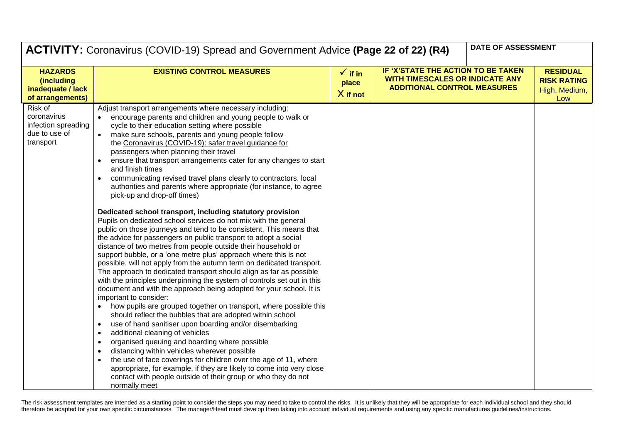|                                                                               | DATE OF ASSESSMENT<br><b>ACTIVITY:</b> Coronavirus (COVID-19) Spread and Government Advice (Page 22 of 22) (R4)                                                                                                                                                                                                                                                                                                                                                                                                                                                                                                                                                                                                                                                                                                                                                                                                                                                                                                                                                                                                                                                                                                                                                                                                                                                                                                                                                                                                                                                                                                                                                                                                                                                                                                                                                                                              |                                           |                                                                                                             |  |                                                               |
|-------------------------------------------------------------------------------|--------------------------------------------------------------------------------------------------------------------------------------------------------------------------------------------------------------------------------------------------------------------------------------------------------------------------------------------------------------------------------------------------------------------------------------------------------------------------------------------------------------------------------------------------------------------------------------------------------------------------------------------------------------------------------------------------------------------------------------------------------------------------------------------------------------------------------------------------------------------------------------------------------------------------------------------------------------------------------------------------------------------------------------------------------------------------------------------------------------------------------------------------------------------------------------------------------------------------------------------------------------------------------------------------------------------------------------------------------------------------------------------------------------------------------------------------------------------------------------------------------------------------------------------------------------------------------------------------------------------------------------------------------------------------------------------------------------------------------------------------------------------------------------------------------------------------------------------------------------------------------------------------------------|-------------------------------------------|-------------------------------------------------------------------------------------------------------------|--|---------------------------------------------------------------|
| <b>HAZARDS</b><br><i>(including)</i><br>inadequate / lack<br>of arrangements) | <b>EXISTING CONTROL MEASURES</b>                                                                                                                                                                                                                                                                                                                                                                                                                                                                                                                                                                                                                                                                                                                                                                                                                                                                                                                                                                                                                                                                                                                                                                                                                                                                                                                                                                                                                                                                                                                                                                                                                                                                                                                                                                                                                                                                             | $\checkmark$ if in<br>place<br>$X$ if not | IF 'X'STATE THE ACTION TO BE TAKEN<br>WITH TIMESCALES OR INDICATE ANY<br><b>ADDITIONAL CONTROL MEASURES</b> |  | <b>RESIDUAL</b><br><b>RISK RATING</b><br>High, Medium,<br>Low |
| Risk of<br>coronavirus<br>infection spreading<br>due to use of<br>transport   | Adjust transport arrangements where necessary including:<br>encourage parents and children and young people to walk or<br>cycle to their education setting where possible<br>make sure schools, parents and young people follow<br>the Coronavirus (COVID-19): safer travel guidance for<br>passengers when planning their travel<br>ensure that transport arrangements cater for any changes to start<br>and finish times<br>communicating revised travel plans clearly to contractors, local<br>authorities and parents where appropriate (for instance, to agree<br>pick-up and drop-off times)<br>Dedicated school transport, including statutory provision<br>Pupils on dedicated school services do not mix with the general<br>public on those journeys and tend to be consistent. This means that<br>the advice for passengers on public transport to adopt a social<br>distance of two metres from people outside their household or<br>support bubble, or a 'one metre plus' approach where this is not<br>possible, will not apply from the autumn term on dedicated transport.<br>The approach to dedicated transport should align as far as possible<br>with the principles underpinning the system of controls set out in this<br>document and with the approach being adopted for your school. It is<br>important to consider:<br>how pupils are grouped together on transport, where possible this<br>should reflect the bubbles that are adopted within school<br>use of hand sanitiser upon boarding and/or disembarking<br>additional cleaning of vehicles<br>organised queuing and boarding where possible<br>distancing within vehicles wherever possible<br>the use of face coverings for children over the age of 11, where<br>appropriate, for example, if they are likely to come into very close<br>contact with people outside of their group or who they do not<br>normally meet |                                           |                                                                                                             |  |                                                               |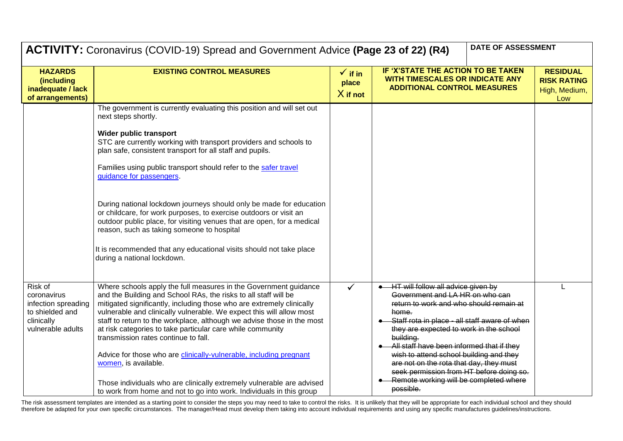|                                                                                                     | <b>DATE OF ASSESSMENT</b><br>ACTIVITY: Coronavirus (COVID-19) Spread and Government Advice (Page 23 of 22) (R4)                                                                                                                                                                                                                                                                                                                                                                                                                                                                                                                                                                                                                    |                                           |                                                                                                                                                                                                                                                                                                                                                                                                                                                                          |                                                               |
|-----------------------------------------------------------------------------------------------------|------------------------------------------------------------------------------------------------------------------------------------------------------------------------------------------------------------------------------------------------------------------------------------------------------------------------------------------------------------------------------------------------------------------------------------------------------------------------------------------------------------------------------------------------------------------------------------------------------------------------------------------------------------------------------------------------------------------------------------|-------------------------------------------|--------------------------------------------------------------------------------------------------------------------------------------------------------------------------------------------------------------------------------------------------------------------------------------------------------------------------------------------------------------------------------------------------------------------------------------------------------------------------|---------------------------------------------------------------|
| <b>HAZARDS</b><br>(including<br>inadequate / lack<br>of arrangements)                               | <b>EXISTING CONTROL MEASURES</b>                                                                                                                                                                                                                                                                                                                                                                                                                                                                                                                                                                                                                                                                                                   | $\checkmark$ if in<br>place<br>$X$ if not | IF 'X'STATE THE ACTION TO BE TAKEN<br>WITH TIMESCALES OR INDICATE ANY<br><b>ADDITIONAL CONTROL MEASURES</b>                                                                                                                                                                                                                                                                                                                                                              | <b>RESIDUAL</b><br><b>RISK RATING</b><br>High, Medium,<br>Low |
|                                                                                                     | The government is currently evaluating this position and will set out<br>next steps shortly.<br>Wider public transport<br>STC are currently working with transport providers and schools to<br>plan safe, consistent transport for all staff and pupils.<br>Families using public transport should refer to the safer travel<br>guidance for passengers.<br>During national lockdown journeys should only be made for education<br>or childcare, for work purposes, to exercise outdoors or visit an<br>outdoor public place, for visiting venues that are open, for a medical<br>reason, such as taking someone to hospital<br>It is recommended that any educational visits should not take place<br>during a national lockdown. |                                           |                                                                                                                                                                                                                                                                                                                                                                                                                                                                          |                                                               |
| Risk of<br>coronavirus<br>infection spreading<br>to shielded and<br>clinically<br>vulnerable adults | Where schools apply the full measures in the Government guidance<br>and the Building and School RAs, the risks to all staff will be<br>mitigated significantly, including those who are extremely clinically<br>vulnerable and clinically vulnerable. We expect this will allow most<br>staff to return to the workplace, although we advise those in the most<br>at risk categories to take particular care while community<br>transmission rates continue to fall.<br>Advice for those who are clinically-vulnerable, including pregnant<br>women, is available.<br>Those individuals who are clinically extremely vulnerable are advised<br>to work from home and not to go into work. Individuals in this group                |                                           | HT will follow all advice given by<br>Government and LA HR on who can<br>return to work and who should remain at<br>home.<br>Staff rota in place - all staff aware of when<br>they are expected to work in the school<br>building.<br>All staff have been informed that if they<br>wish to attend school building and they<br>are not on the rota that day, they must<br>seek permission from HT before doing so.<br>Remote working will be completed where<br>possible. |                                                               |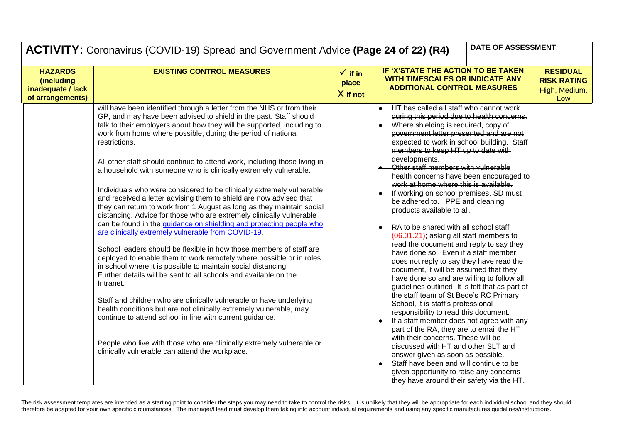| DATE OF ASSESSMENT<br>ACTIVITY: Coronavirus (COVID-19) Spread and Government Advice (Page 24 of 22) (R4) |                                                                                                                                                                                                                                                                                                                                                                                                                                                                                                                                                                                                                                                                                                                                                                                                                                                                                                                                                                                                                                                                                                                                                                                                                                                                                                                                                                                                                                                                                                                          |                                           |                                                                                                                                                                                                                                                                                                                                                                                                                                                                                                                                                                                                                                                                                                                                                                                                                                                                                                                                                                                                                                                                                                                                                                                                                                                                                                                                                                                        |  |                                                               |
|----------------------------------------------------------------------------------------------------------|--------------------------------------------------------------------------------------------------------------------------------------------------------------------------------------------------------------------------------------------------------------------------------------------------------------------------------------------------------------------------------------------------------------------------------------------------------------------------------------------------------------------------------------------------------------------------------------------------------------------------------------------------------------------------------------------------------------------------------------------------------------------------------------------------------------------------------------------------------------------------------------------------------------------------------------------------------------------------------------------------------------------------------------------------------------------------------------------------------------------------------------------------------------------------------------------------------------------------------------------------------------------------------------------------------------------------------------------------------------------------------------------------------------------------------------------------------------------------------------------------------------------------|-------------------------------------------|----------------------------------------------------------------------------------------------------------------------------------------------------------------------------------------------------------------------------------------------------------------------------------------------------------------------------------------------------------------------------------------------------------------------------------------------------------------------------------------------------------------------------------------------------------------------------------------------------------------------------------------------------------------------------------------------------------------------------------------------------------------------------------------------------------------------------------------------------------------------------------------------------------------------------------------------------------------------------------------------------------------------------------------------------------------------------------------------------------------------------------------------------------------------------------------------------------------------------------------------------------------------------------------------------------------------------------------------------------------------------------------|--|---------------------------------------------------------------|
| <b>HAZARDS</b><br>(including<br>inadequate / lack<br>of arrangements)                                    | <b>EXISTING CONTROL MEASURES</b>                                                                                                                                                                                                                                                                                                                                                                                                                                                                                                                                                                                                                                                                                                                                                                                                                                                                                                                                                                                                                                                                                                                                                                                                                                                                                                                                                                                                                                                                                         | $\checkmark$ if in<br>place<br>$X$ if not | IF 'X'STATE THE ACTION TO BE TAKEN<br><b>WITH TIMESCALES OR INDICATE ANY</b><br><b>ADDITIONAL CONTROL MEASURES</b>                                                                                                                                                                                                                                                                                                                                                                                                                                                                                                                                                                                                                                                                                                                                                                                                                                                                                                                                                                                                                                                                                                                                                                                                                                                                     |  | <b>RESIDUAL</b><br><b>RISK RATING</b><br>High, Medium,<br>Low |
|                                                                                                          | will have been identified through a letter from the NHS or from their<br>GP, and may have been advised to shield in the past. Staff should<br>talk to their employers about how they will be supported, including to<br>work from home where possible, during the period of national<br>restrictions.<br>All other staff should continue to attend work, including those living in<br>a household with someone who is clinically extremely vulnerable.<br>Individuals who were considered to be clinically extremely vulnerable<br>and received a letter advising them to shield are now advised that<br>they can return to work from 1 August as long as they maintain social<br>distancing. Advice for those who are extremely clinically vulnerable<br>can be found in the guidance on shielding and protecting people who<br>are clinically extremely vulnerable from COVID-19.<br>School leaders should be flexible in how those members of staff are<br>deployed to enable them to work remotely where possible or in roles<br>in school where it is possible to maintain social distancing.<br>Further details will be sent to all schools and available on the<br>Intranet.<br>Staff and children who are clinically vulnerable or have underlying<br>health conditions but are not clinically extremely vulnerable, may<br>continue to attend school in line with current guidance.<br>People who live with those who are clinically extremely vulnerable or<br>clinically vulnerable can attend the workplace. |                                           | HT has called all staff who cannot work<br>during this period due to health concerns.<br>• Where shielding is required, copy of<br>government letter presented and are not<br>expected to work in school building. Staff<br>members to keep HT up to date with<br>developments.<br>• Other staff members with vulnerable<br>health concerns have been encouraged to<br>work at home where this is available.<br>If working on school premises, SD must<br>be adhered to. PPE and cleaning<br>products available to all.<br>RA to be shared with all school staff<br>(06.01.21); asking all staff members to<br>read the document and reply to say they<br>have done so. Even if a staff member<br>does not reply to say they have read the<br>document, it will be assumed that they<br>have done so and are willing to follow all<br>guidelines outlined. It is felt that as part of<br>the staff team of St Bede's RC Primary<br>School, it is staff's professional<br>responsibility to read this document.<br>If a staff member does not agree with any<br>$\bullet$<br>part of the RA, they are to email the HT<br>with their concerns. These will be<br>discussed with HT and other SLT and<br>answer given as soon as possible.<br>Staff have been and will continue to be<br>$\bullet$<br>given opportunity to raise any concerns<br>they have around their safety via the HT. |  |                                                               |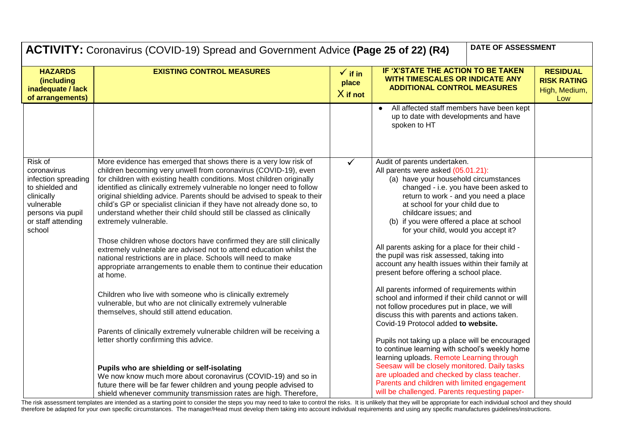|                                                                                                                                                   | DATE OF ASSESSMENT<br>ACTIVITY: Coronavirus (COVID-19) Spread and Government Advice (Page 25 of 22) (R4)                                                                                                                                                                                                                                                                                                                                                                                                                                      |                                           |                                                                                                                                                                                                                                                                                                                                                |                                                               |  |
|---------------------------------------------------------------------------------------------------------------------------------------------------|-----------------------------------------------------------------------------------------------------------------------------------------------------------------------------------------------------------------------------------------------------------------------------------------------------------------------------------------------------------------------------------------------------------------------------------------------------------------------------------------------------------------------------------------------|-------------------------------------------|------------------------------------------------------------------------------------------------------------------------------------------------------------------------------------------------------------------------------------------------------------------------------------------------------------------------------------------------|---------------------------------------------------------------|--|
| <b>HAZARDS</b><br>(including<br>inadequate / lack<br>of arrangements)                                                                             | <b>EXISTING CONTROL MEASURES</b>                                                                                                                                                                                                                                                                                                                                                                                                                                                                                                              | $\checkmark$ if in<br>place<br>$X$ if not | IF 'X'STATE THE ACTION TO BE TAKEN<br><b>WITH TIMESCALES OR INDICATE ANY</b><br><b>ADDITIONAL CONTROL MEASURES</b>                                                                                                                                                                                                                             | <b>RESIDUAL</b><br><b>RISK RATING</b><br>High, Medium,<br>Low |  |
|                                                                                                                                                   |                                                                                                                                                                                                                                                                                                                                                                                                                                                                                                                                               |                                           | All affected staff members have been kept<br>up to date with developments and have<br>spoken to HT                                                                                                                                                                                                                                             |                                                               |  |
| Risk of<br>coronavirus<br>infection spreading<br>to shielded and<br>clinically<br>vulnerable<br>persons via pupil<br>or staff attending<br>school | More evidence has emerged that shows there is a very low risk of<br>children becoming very unwell from coronavirus (COVID-19), even<br>for children with existing health conditions. Most children originally<br>identified as clinically extremely vulnerable no longer need to follow<br>original shielding advice. Parents should be advised to speak to their<br>child's GP or specialist clinician if they have not already done so, to<br>understand whether their child should still be classed as clinically<br>extremely vulnerable. |                                           | Audit of parents undertaken.<br>All parents were asked (05.01.21):<br>(a) have your household circumstances<br>changed - i.e. you have been asked to<br>return to work - and you need a place<br>at school for your child due to<br>childcare issues; and<br>(b) if you were offered a place at school<br>for your child, would you accept it? |                                                               |  |
|                                                                                                                                                   | Those children whose doctors have confirmed they are still clinically<br>extremely vulnerable are advised not to attend education whilst the<br>national restrictions are in place. Schools will need to make<br>appropriate arrangements to enable them to continue their education<br>at home.                                                                                                                                                                                                                                              |                                           | All parents asking for a place for their child -<br>the pupil was risk assessed, taking into<br>account any health issues within their family at<br>present before offering a school place.                                                                                                                                                    |                                                               |  |
|                                                                                                                                                   | Children who live with someone who is clinically extremely<br>vulnerable, but who are not clinically extremely vulnerable<br>themselves, should still attend education.                                                                                                                                                                                                                                                                                                                                                                       |                                           | All parents informed of requirements within<br>school and informed if their child cannot or will<br>not follow procedures put in place, we will<br>discuss this with parents and actions taken.<br>Covid-19 Protocol added to website.                                                                                                         |                                                               |  |
|                                                                                                                                                   | Parents of clinically extremely vulnerable children will be receiving a<br>letter shortly confirming this advice.                                                                                                                                                                                                                                                                                                                                                                                                                             |                                           | Pupils not taking up a place will be encouraged<br>to continue learning with school's weekly home<br>learning uploads. Remote Learning through                                                                                                                                                                                                 |                                                               |  |
|                                                                                                                                                   | Pupils who are shielding or self-isolating<br>We now know much more about coronavirus (COVID-19) and so in<br>future there will be far fewer children and young people advised to<br>shield whenever community transmission rates are high. Therefore,                                                                                                                                                                                                                                                                                        |                                           | Seesaw will be closely monitored. Daily tasks<br>are uploaded and checked by class teacher.<br>Parents and children with limited engagement<br>will be challenged. Parents requesting paper-                                                                                                                                                   |                                                               |  |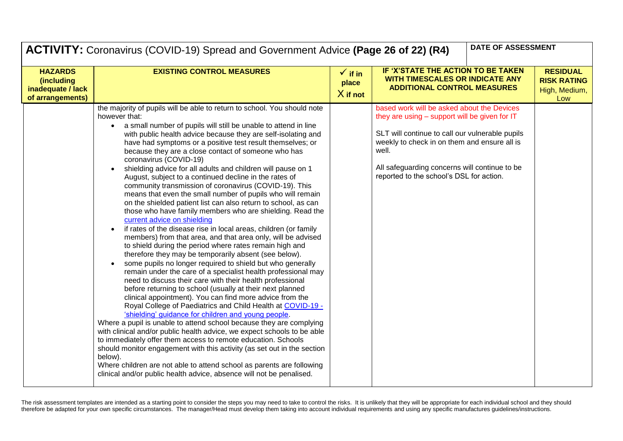|                                                                       | ACTIVITY: Coronavirus (COVID-19) Spread and Government Advice (Page 26 of 22) (R4)                                                                                                                                                                                                                                                                                                                                                                                                                                                                                                                                                                                                                                                                                                                                                                                                                                                                                                                                                                                                                                                                                                                                                                                                                                                                                                                                                                                                                                                                                                                                                                                                                                                                                                                                                                                                                                                                                     |                                           | DATE OF ASSESSMENT                                                                                                                                                                                                                                                                                   |                                                               |
|-----------------------------------------------------------------------|------------------------------------------------------------------------------------------------------------------------------------------------------------------------------------------------------------------------------------------------------------------------------------------------------------------------------------------------------------------------------------------------------------------------------------------------------------------------------------------------------------------------------------------------------------------------------------------------------------------------------------------------------------------------------------------------------------------------------------------------------------------------------------------------------------------------------------------------------------------------------------------------------------------------------------------------------------------------------------------------------------------------------------------------------------------------------------------------------------------------------------------------------------------------------------------------------------------------------------------------------------------------------------------------------------------------------------------------------------------------------------------------------------------------------------------------------------------------------------------------------------------------------------------------------------------------------------------------------------------------------------------------------------------------------------------------------------------------------------------------------------------------------------------------------------------------------------------------------------------------------------------------------------------------------------------------------------------------|-------------------------------------------|------------------------------------------------------------------------------------------------------------------------------------------------------------------------------------------------------------------------------------------------------------------------------------------------------|---------------------------------------------------------------|
| <b>HAZARDS</b><br>(including<br>inadequate / lack<br>of arrangements) | <b>EXISTING CONTROL MEASURES</b>                                                                                                                                                                                                                                                                                                                                                                                                                                                                                                                                                                                                                                                                                                                                                                                                                                                                                                                                                                                                                                                                                                                                                                                                                                                                                                                                                                                                                                                                                                                                                                                                                                                                                                                                                                                                                                                                                                                                       | $\checkmark$ if in<br>place<br>$X$ if not | IF 'X'STATE THE ACTION TO BE TAKEN<br><b>WITH TIMESCALES OR INDICATE ANY</b><br><b>ADDITIONAL CONTROL MEASURES</b>                                                                                                                                                                                   | <b>RESIDUAL</b><br><b>RISK RATING</b><br>High, Medium,<br>Low |
|                                                                       | the majority of pupils will be able to return to school. You should note<br>however that:<br>a small number of pupils will still be unable to attend in line<br>$\bullet$<br>with public health advice because they are self-isolating and<br>have had symptoms or a positive test result themselves; or<br>because they are a close contact of someone who has<br>coronavirus (COVID-19)<br>shielding advice for all adults and children will pause on 1<br>August, subject to a continued decline in the rates of<br>community transmission of coronavirus (COVID-19). This<br>means that even the small number of pupils who will remain<br>on the shielded patient list can also return to school, as can<br>those who have family members who are shielding. Read the<br>current advice on shielding<br>if rates of the disease rise in local areas, children (or family<br>members) from that area, and that area only, will be advised<br>to shield during the period where rates remain high and<br>therefore they may be temporarily absent (see below).<br>some pupils no longer required to shield but who generally<br>remain under the care of a specialist health professional may<br>need to discuss their care with their health professional<br>before returning to school (usually at their next planned<br>clinical appointment). You can find more advice from the<br>Royal College of Paediatrics and Child Health at COVID-19 -<br>'shielding' guidance for children and young people.<br>Where a pupil is unable to attend school because they are complying<br>with clinical and/or public health advice, we expect schools to be able<br>to immediately offer them access to remote education. Schools<br>should monitor engagement with this activity (as set out in the section<br>below).<br>Where children are not able to attend school as parents are following<br>clinical and/or public health advice, absence will not be penalised. |                                           | based work will be asked about the Devices<br>they are using – support will be given for IT<br>SLT will continue to call our vulnerable pupils<br>weekly to check in on them and ensure all is<br>well.<br>All safeguarding concerns will continue to be<br>reported to the school's DSL for action. |                                                               |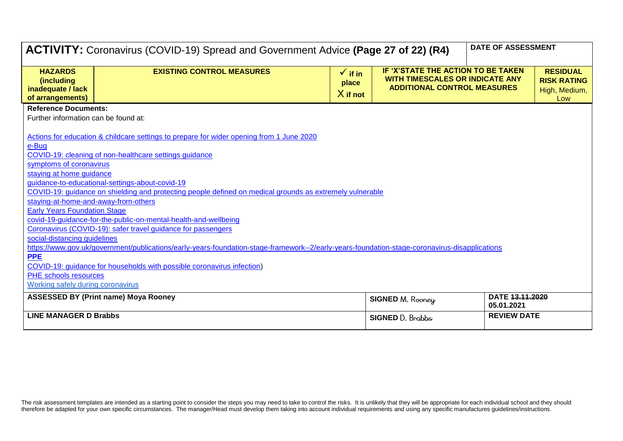| ACTIVITY: Coronavirus (COVID-19) Spread and Government Advice (Page 27 of 22) (R4) | <b>DATE OF ASSESSMENT</b>                                                                                                                     |                    |                                                                                                 |                    |                                     |  |  |  |
|------------------------------------------------------------------------------------|-----------------------------------------------------------------------------------------------------------------------------------------------|--------------------|-------------------------------------------------------------------------------------------------|--------------------|-------------------------------------|--|--|--|
|                                                                                    |                                                                                                                                               |                    |                                                                                                 |                    |                                     |  |  |  |
| <b>HAZARDS</b>                                                                     | <b>EXISTING CONTROL MEASURES</b>                                                                                                              | $\checkmark$ if in | IF 'X'STATE THE ACTION TO BE TAKEN<br><b>RESIDUAL</b><br><b>WITH TIMESCALES OR INDICATE ANY</b> |                    |                                     |  |  |  |
| (including<br>inadequate / lack                                                    |                                                                                                                                               | place              | <b>ADDITIONAL CONTROL MEASURES</b>                                                              |                    | <b>RISK RATING</b><br>High, Medium, |  |  |  |
| of arrangements)                                                                   |                                                                                                                                               | $X$ if not         |                                                                                                 |                    | Low                                 |  |  |  |
|                                                                                    | <b>Reference Documents:</b>                                                                                                                   |                    |                                                                                                 |                    |                                     |  |  |  |
| Further information can be found at:                                               |                                                                                                                                               |                    |                                                                                                 |                    |                                     |  |  |  |
|                                                                                    |                                                                                                                                               |                    |                                                                                                 |                    |                                     |  |  |  |
|                                                                                    | Actions for education & childcare settings to prepare for wider opening from 1 June 2020                                                      |                    |                                                                                                 |                    |                                     |  |  |  |
| e-Bug                                                                              | COVID-19: cleaning of non-healthcare settings guidance                                                                                        |                    |                                                                                                 |                    |                                     |  |  |  |
| symptoms of coronavirus                                                            |                                                                                                                                               |                    |                                                                                                 |                    |                                     |  |  |  |
| staying at home guidance                                                           |                                                                                                                                               |                    |                                                                                                 |                    |                                     |  |  |  |
|                                                                                    | guidance-to-educational-settings-about-covid-19                                                                                               |                    |                                                                                                 |                    |                                     |  |  |  |
|                                                                                    | COVID-19: quidance on shielding and protecting people defined on medical grounds as extremely vulnerable                                      |                    |                                                                                                 |                    |                                     |  |  |  |
| staying-at-home-and-away-from-others                                               |                                                                                                                                               |                    |                                                                                                 |                    |                                     |  |  |  |
| <b>Early Years Foundation Stage</b>                                                |                                                                                                                                               |                    |                                                                                                 |                    |                                     |  |  |  |
|                                                                                    | covid-19-guidance-for-the-public-on-mental-health-and-wellbeing                                                                               |                    |                                                                                                 |                    |                                     |  |  |  |
|                                                                                    | Coronavirus (COVID-19): safer travel guidance for passengers                                                                                  |                    |                                                                                                 |                    |                                     |  |  |  |
| social-distancing guidelines                                                       | https://www.gov.uk/government/publications/early-years-foundation-stage-framework--2/early-years-foundation-stage-coronavirus-disapplications |                    |                                                                                                 |                    |                                     |  |  |  |
| <b>PPE</b>                                                                         |                                                                                                                                               |                    |                                                                                                 |                    |                                     |  |  |  |
|                                                                                    | COVID-19: guidance for households with possible coronavirus infection)                                                                        |                    |                                                                                                 |                    |                                     |  |  |  |
| PHE schools resources                                                              |                                                                                                                                               |                    |                                                                                                 |                    |                                     |  |  |  |
| Working safely during coronavirus                                                  |                                                                                                                                               |                    |                                                                                                 |                    |                                     |  |  |  |
|                                                                                    | <b>ASSESSED BY (Print name) Moya Rooney</b>                                                                                                   |                    | <b>SIGNED M. Rooney</b>                                                                         | DATE 13.11.2020    |                                     |  |  |  |
|                                                                                    |                                                                                                                                               |                    |                                                                                                 | 05.01.2021         |                                     |  |  |  |
| <b>LINE MANAGER D Brabbs</b>                                                       |                                                                                                                                               |                    | SIGNED D. Brabbs                                                                                | <b>REVIEW DATE</b> |                                     |  |  |  |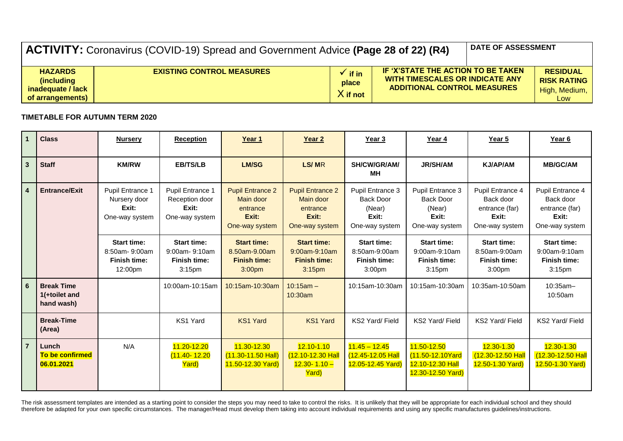| <b>ACTIVITY:</b> Coronavirus (COVID-19) Spread and Government Advice (Page 28 of 22) (R4) |                                  |                              |                                                                                                             |  | <b>DATE OF ASSESSMENT</b>                                       |
|-------------------------------------------------------------------------------------------|----------------------------------|------------------------------|-------------------------------------------------------------------------------------------------------------|--|-----------------------------------------------------------------|
| <b>HAZARDS</b><br><i>(including)</i><br>inadeguate / lack<br>of arrangements)             | <b>EXISTING CONTROL MEASURES</b> | if in<br>place<br>$X$ if not | IF 'X'STATE THE ACTION TO BE TAKEN<br>WITH TIMESCALES OR INDICATE ANY<br><b>ADDITIONAL CONTROL MEASURES</b> |  | <b>RESIDUAL</b><br><b>RISK RATING</b><br>High, Medium,  <br>Low |

## **TIMETABLE FOR AUTUMN TERM 2020**

| $\mathbf{1}$   | <b>Class</b>                                     | <b>Nursery</b>                                                        | <b>Reception</b>                                                                 | Year 1                                                                           | Year <sub>2</sub>                                                                | Year 3                                                                           | Year 4                                                                           | Year 5                                                                           | Year 6                                                                           |
|----------------|--------------------------------------------------|-----------------------------------------------------------------------|----------------------------------------------------------------------------------|----------------------------------------------------------------------------------|----------------------------------------------------------------------------------|----------------------------------------------------------------------------------|----------------------------------------------------------------------------------|----------------------------------------------------------------------------------|----------------------------------------------------------------------------------|
| 3 <sup>1</sup> | <b>Staff</b>                                     | <b>KM/RW</b>                                                          | <b>EB/TS/LB</b>                                                                  | <b>LM/SG</b>                                                                     | LS/MR                                                                            | SH/CW/GR/AM/<br>ΜН                                                               | <b>JR/SH/AM</b>                                                                  | <b>KJ/AP/AM</b>                                                                  | <b>MB/GC/AM</b>                                                                  |
| 4              | <b>Entrance/Exit</b>                             | Pupil Entrance 1<br>Nursery door<br>Exit:<br>One-way system           | <b>Pupil Entrance 1</b><br>Reception door<br>Exit:<br>One-way system             | <b>Pupil Entrance 2</b><br>Main door<br>entrance<br>Exit:<br>One-way system      | <b>Pupil Entrance 2</b><br>Main door<br>entrance<br>Exit:<br>One-way system      | Pupil Entrance 3<br><b>Back Door</b><br>(Near)<br>Exit:<br>One-way system        | Pupil Entrance 3<br><b>Back Door</b><br>(Near)<br>Exit:<br>One-way system        | Pupil Entrance 4<br>Back door<br>entrance (far)<br>Exit:<br>One-way system       | Pupil Entrance 4<br>Back door<br>entrance (far)<br>Exit:<br>One-way system       |
|                |                                                  | <b>Start time:</b><br>8:50am-9:00am<br><b>Finish time:</b><br>12:00pm | <b>Start time:</b><br>9:00am-9:10am<br><b>Finish time:</b><br>3:15 <sub>pm</sub> | <b>Start time:</b><br>8.50am-9.00am<br><b>Finish time:</b><br>3:00 <sub>pm</sub> | <b>Start time:</b><br>9:00am-9:10am<br><b>Finish time:</b><br>3:15 <sub>pm</sub> | <b>Start time:</b><br>8:50am-9:00am<br><b>Finish time:</b><br>3:00 <sub>pm</sub> | <b>Start time:</b><br>9:00am-9:10am<br><b>Finish time:</b><br>3:15 <sub>pm</sub> | <b>Start time:</b><br>8:50am-9:00am<br><b>Finish time:</b><br>3:00 <sub>pm</sub> | <b>Start time:</b><br>9:00am-9:10am<br><b>Finish time:</b><br>3:15 <sub>pm</sub> |
| 6              | <b>Break Time</b><br>1(+toilet and<br>hand wash) |                                                                       | 10:00am-10:15am                                                                  | 10:15am-10:30am                                                                  | $10:15am -$<br>10:30am                                                           | 10:15am-10:30am                                                                  | 10:15am-10:30am                                                                  | 10:35am-10:50am                                                                  | $10:35am -$<br>10:50am                                                           |
|                | <b>Break-Time</b><br>(Area)                      |                                                                       | KS1 Yard                                                                         | <b>KS1 Yard</b>                                                                  | <b>KS1 Yard</b>                                                                  | KS2 Yard/ Field                                                                  | KS2 Yard/ Field                                                                  | KS2 Yard/ Field                                                                  | KS2 Yard/ Field                                                                  |
| $\overline{7}$ | Lunch<br>To be confirmed<br>06.01.2021           | N/A                                                                   | 11.20-12.20<br>$(11.40 - 12.20)$<br>Yard)                                        | 11.30-12.30<br>$(11.30 - 11.50$ Hall)<br>11.50-12.30 Yard)                       | $12.10 - 1.10$<br>(12.10-12.30 Hall<br>$12.30 - 1.10 -$<br>Yard)                 | $11.45 - 12.45$<br>(12.45-12.05 Hall<br>12.05-12.45 Yard)                        | 11.50-12.50<br>(11.50-12.10Yard<br>12.10-12.30 Hall<br>12.30-12.50 Yard)         | 12.30-1.30<br>$(12.30 - 12.50$ Hall<br>12.50-1.30 Yard)                          | 12.30-1.30<br>(12.30-12.50 Hall<br>12.50-1.30 Yard)                              |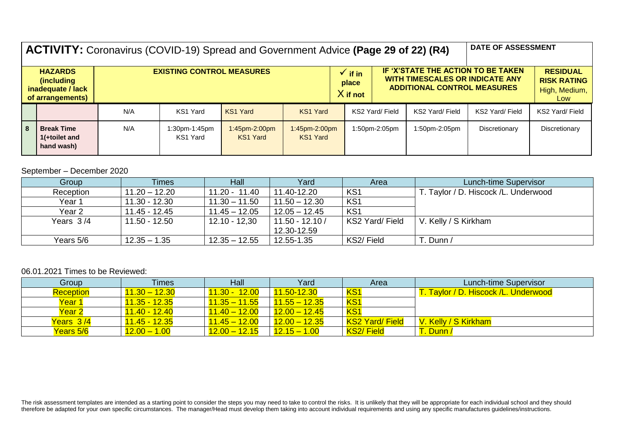|                                                                                                           | <b>ACTIVITY:</b> Coronavirus (COVID-19) Spread and Government Advice (Page 29 of 22) (R4) |     |                           |                                           |                           |                                                                                                                    |  | <b>DATE OF ASSESSMENT</b>                                     |                 |                 |                 |
|-----------------------------------------------------------------------------------------------------------|-------------------------------------------------------------------------------------------|-----|---------------------------|-------------------------------------------|---------------------------|--------------------------------------------------------------------------------------------------------------------|--|---------------------------------------------------------------|-----------------|-----------------|-----------------|
| <b>HAZARDS</b><br><b>EXISTING CONTROL MEASURES</b><br>(including<br>inadequate / lack<br>of arrangements) |                                                                                           |     |                           | $\checkmark$ if in<br>place<br>$X$ if not |                           | IF 'X'STATE THE ACTION TO BE TAKEN<br><b>WITH TIMESCALES OR INDICATE ANY</b><br><b>ADDITIONAL CONTROL MEASURES</b> |  | <b>RESIDUAL</b><br><b>RISK RATING</b><br>High, Medium,<br>Low |                 |                 |                 |
|                                                                                                           |                                                                                           | N/A | KS1 Yard                  | KS1 Yard                                  | <b>KS1 Yard</b>           |                                                                                                                    |  | KS2 Yard/ Field                                               | KS2 Yard/ Field | KS2 Yard/ Field | KS2 Yard/ Field |
| l 8                                                                                                       | <b>Break Time</b><br>1(+toilet and<br>hand wash)                                          | N/A | 1:30pm-1:45pm<br>KS1 Yard | 1:45pm-2:00pm<br>KS1 Yard                 | 1:45pm-2:00pm<br>KS1 Yard |                                                                                                                    |  | 1:50pm-2:05pm                                                 | 1:50pm-2:05pm   | Discretionary   | Discretionary   |

## September – December 2020

| Group       | <b>Times</b>    | Hall            | Yard              | Area            | Lunch-time Supervisor                 |
|-------------|-----------------|-----------------|-------------------|-----------------|---------------------------------------|
| Reception   | $11.20 - 12.20$ | 11.20 - 11.40   | 11.40-12.20       | KS <sub>1</sub> | T. Taylor / D. Hiscock / L. Underwood |
| Year 1      | 11.30 - 12.30   | $11.30 - 11.50$ | $11.50 - 12.30$   | KS <sub>1</sub> |                                       |
| Year 2      | 11.45 - 12.45   | $11.45 - 12.05$ | $12.05 - 12.45$   | KS <sub>1</sub> |                                       |
| Years $3/4$ | 11.50 - 12.50   | $12.10 - 12.30$ | $11.50 - 12.10 /$ | KS2 Yard/ Field | V. Kelly / S Kirkham                  |
|             |                 |                 | 12.30-12.59       |                 |                                       |
| Years 5/6   | $12.35 - 1.35$  | $12.35 - 12.55$ | 12.55-1.35        | KS2/Field       | . Dunn /                              |

## 06.01.2021 Times to be Reviewed:

| Group            | <b>Times</b>               | Hall                       | Yard            | Area             | Lunch-time Supervisor                |
|------------------|----------------------------|----------------------------|-----------------|------------------|--------------------------------------|
| <b>Reception</b> | $11.30 - 12.30$            | <mark>11.30 - 12.00</mark> | 11.50-12.30     | KS <sub>1</sub>  | T. Taylor / D. Hiscock /L. Underwood |
| <u>Year 1</u>    | <u> 11.35 - 12.35</u>      | $11.35 - 11.55$            | $11.55 - 12.35$ | KS <sub>1</sub>  |                                      |
| Year 2           | <u> 11.40 - 12.40</u>      | $11.40 - 12.00$            | $12.00 - 12.45$ | KS1              |                                      |
| Years 3/4        | <mark>11.45 - 12.35</mark> | $11.45 - 12.00$            | $12.00 - 12.35$ | KS2 Yard/ Field  | V. Kelly / S Kirkham                 |
| Years 5/6        | $12.00 - 1.00$             | $12.00 - 12.15$            | $12.15 - 1.00$  | <b>KS2/Field</b> | <b>Dunn</b>                          |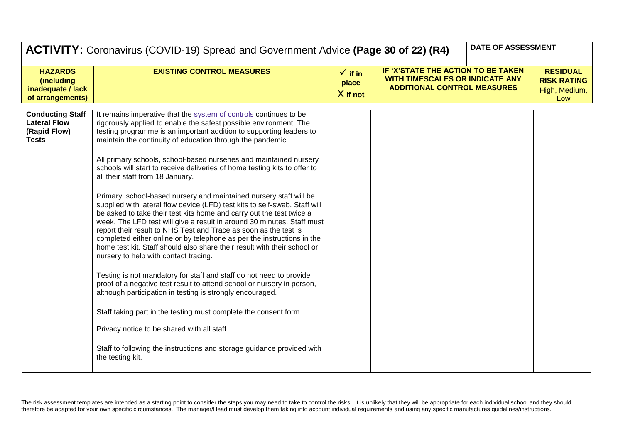|                                                                                | <b>ACTIVITY:</b> Coronavirus (COVID-19) Spread and Government Advice (Page 30 of 22) (R4)                                                                                                                                                                                                                                                                                                                                                                                                                                                                                                                                                                                                                                                                                                                                                                                                                                                                                                                                                                                                                                                                                                                                                                                                                                                                                                                                                                                  |                                           |                                                                                                                    | DATE OF ASSESSMENT |                                                               |
|--------------------------------------------------------------------------------|----------------------------------------------------------------------------------------------------------------------------------------------------------------------------------------------------------------------------------------------------------------------------------------------------------------------------------------------------------------------------------------------------------------------------------------------------------------------------------------------------------------------------------------------------------------------------------------------------------------------------------------------------------------------------------------------------------------------------------------------------------------------------------------------------------------------------------------------------------------------------------------------------------------------------------------------------------------------------------------------------------------------------------------------------------------------------------------------------------------------------------------------------------------------------------------------------------------------------------------------------------------------------------------------------------------------------------------------------------------------------------------------------------------------------------------------------------------------------|-------------------------------------------|--------------------------------------------------------------------------------------------------------------------|--------------------|---------------------------------------------------------------|
| <b>HAZARDS</b><br><i>(including</i><br>inadequate / lack<br>of arrangements)   | <b>EXISTING CONTROL MEASURES</b>                                                                                                                                                                                                                                                                                                                                                                                                                                                                                                                                                                                                                                                                                                                                                                                                                                                                                                                                                                                                                                                                                                                                                                                                                                                                                                                                                                                                                                           | $\checkmark$ if in<br>place<br>$X$ if not | IF 'X'STATE THE ACTION TO BE TAKEN<br><b>WITH TIMESCALES OR INDICATE ANY</b><br><b>ADDITIONAL CONTROL MEASURES</b> |                    | <b>RESIDUAL</b><br><b>RISK RATING</b><br>High, Medium,<br>Low |
| <b>Conducting Staff</b><br><b>Lateral Flow</b><br>(Rapid Flow)<br><b>Tests</b> | It remains imperative that the system of controls continues to be<br>rigorously applied to enable the safest possible environment. The<br>testing programme is an important addition to supporting leaders to<br>maintain the continuity of education through the pandemic.<br>All primary schools, school-based nurseries and maintained nursery<br>schools will start to receive deliveries of home testing kits to offer to<br>all their staff from 18 January.<br>Primary, school-based nursery and maintained nursery staff will be<br>supplied with lateral flow device (LFD) test kits to self-swab. Staff will<br>be asked to take their test kits home and carry out the test twice a<br>week. The LFD test will give a result in around 30 minutes. Staff must<br>report their result to NHS Test and Trace as soon as the test is<br>completed either online or by telephone as per the instructions in the<br>home test kit. Staff should also share their result with their school or<br>nursery to help with contact tracing.<br>Testing is not mandatory for staff and staff do not need to provide<br>proof of a negative test result to attend school or nursery in person,<br>although participation in testing is strongly encouraged.<br>Staff taking part in the testing must complete the consent form.<br>Privacy notice to be shared with all staff.<br>Staff to following the instructions and storage guidance provided with<br>the testing kit. |                                           |                                                                                                                    |                    |                                                               |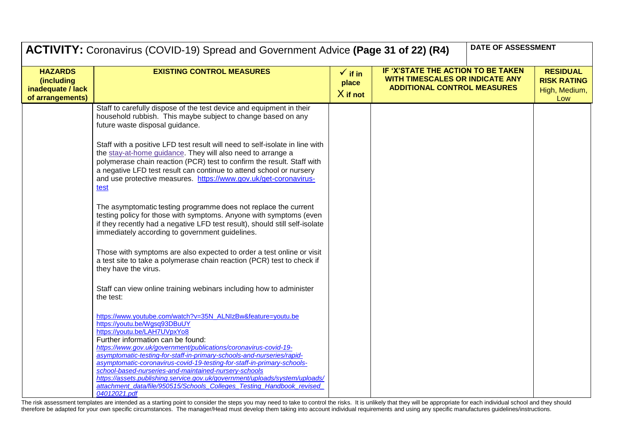|                                                                       | DATE OF ASSESSMENT<br><b>ACTIVITY:</b> Coronavirus (COVID-19) Spread and Government Advice (Page 31 of 22) (R4)                                                                                                                                                                                                                                                                    |                                         |                                                                                                                    |                                                               |  |
|-----------------------------------------------------------------------|------------------------------------------------------------------------------------------------------------------------------------------------------------------------------------------------------------------------------------------------------------------------------------------------------------------------------------------------------------------------------------|-----------------------------------------|--------------------------------------------------------------------------------------------------------------------|---------------------------------------------------------------|--|
| <b>HAZARDS</b><br>(including<br>inadequate / lack<br>of arrangements) | <b>EXISTING CONTROL MEASURES</b>                                                                                                                                                                                                                                                                                                                                                   | $\sqrt{ }$ if in<br>place<br>$X$ if not | IF 'X'STATE THE ACTION TO BE TAKEN<br><b>WITH TIMESCALES OR INDICATE ANY</b><br><b>ADDITIONAL CONTROL MEASURES</b> | <b>RESIDUAL</b><br><b>RISK RATING</b><br>High, Medium,<br>Low |  |
|                                                                       | Staff to carefully dispose of the test device and equipment in their<br>household rubbish. This maybe subject to change based on any<br>future waste disposal guidance.                                                                                                                                                                                                            |                                         |                                                                                                                    |                                                               |  |
|                                                                       | Staff with a positive LFD test result will need to self-isolate in line with<br>the stay-at-home guidance. They will also need to arrange a<br>polymerase chain reaction (PCR) test to confirm the result. Staff with<br>a negative LFD test result can continue to attend school or nursery<br>and use protective measures. https://www.gov.uk/get-coronavirus-<br>test           |                                         |                                                                                                                    |                                                               |  |
|                                                                       | The asymptomatic testing programme does not replace the current<br>testing policy for those with symptoms. Anyone with symptoms (even<br>if they recently had a negative LFD test result), should still self-isolate<br>immediately according to government guidelines.                                                                                                            |                                         |                                                                                                                    |                                                               |  |
|                                                                       | Those with symptoms are also expected to order a test online or visit<br>a test site to take a polymerase chain reaction (PCR) test to check if<br>they have the virus.                                                                                                                                                                                                            |                                         |                                                                                                                    |                                                               |  |
|                                                                       | Staff can view online training webinars including how to administer<br>the test:                                                                                                                                                                                                                                                                                                   |                                         |                                                                                                                    |                                                               |  |
|                                                                       | https://www.youtube.com/watch?v=35N_ALNIzBw&feature=youtu.be<br>https://youtu.be/Wgsq93DBuUY<br>https://youtu.be/LAH7UVpxYo8<br>Further information can be found:<br>https://www.gov.uk/government/publications/coronavirus-covid-19-                                                                                                                                              |                                         |                                                                                                                    |                                                               |  |
|                                                                       | asymptomatic-testing-for-staff-in-primary-schools-and-nurseries/rapid-<br>asymptomatic-coronavirus-covid-19-testing-for-staff-in-primary-schools-<br>school-based-nurseries-and-maintained-nursery-schools<br>https://assets.publishing.service.gov.uk/government/uploads/system/uploads/<br>attachment data/file/950515/Schools Colleges Testing Handbook revised<br>04012021.pdf |                                         |                                                                                                                    |                                                               |  |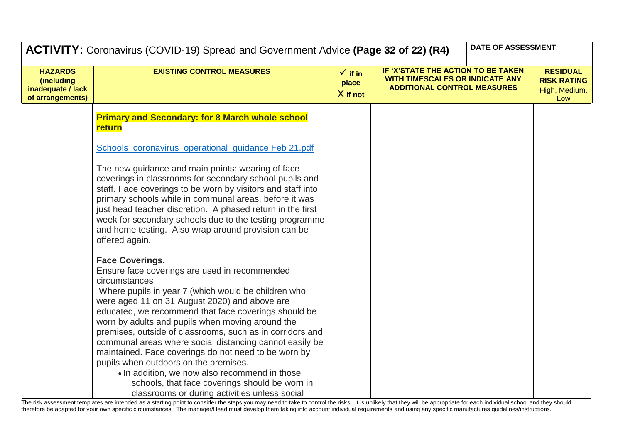|                                                                       | ACTIVITY: Coronavirus (COVID-19) Spread and Government Advice (Page 32 of 22) (R4)                                                                                                                                                                                                                                                                                                                                                                                                                                                                                                                                                                                                        |                                           | DATE OF ASSESSMENT                                                                                                 |  |                                                               |
|-----------------------------------------------------------------------|-------------------------------------------------------------------------------------------------------------------------------------------------------------------------------------------------------------------------------------------------------------------------------------------------------------------------------------------------------------------------------------------------------------------------------------------------------------------------------------------------------------------------------------------------------------------------------------------------------------------------------------------------------------------------------------------|-------------------------------------------|--------------------------------------------------------------------------------------------------------------------|--|---------------------------------------------------------------|
| <b>HAZARDS</b><br>(including<br>inadequate / lack<br>of arrangements) | <b>EXISTING CONTROL MEASURES</b>                                                                                                                                                                                                                                                                                                                                                                                                                                                                                                                                                                                                                                                          | $\checkmark$ if in<br>place<br>$X$ if not | IF 'X'STATE THE ACTION TO BE TAKEN<br><b>WITH TIMESCALES OR INDICATE ANY</b><br><b>ADDITIONAL CONTROL MEASURES</b> |  | <b>RESIDUAL</b><br><b>RISK RATING</b><br>High, Medium,<br>Low |
|                                                                       | <b>Primary and Secondary: for 8 March whole school</b><br>return                                                                                                                                                                                                                                                                                                                                                                                                                                                                                                                                                                                                                          |                                           |                                                                                                                    |  |                                                               |
|                                                                       | Schools_coronavirus_operational_guidance Feb 21.pdf                                                                                                                                                                                                                                                                                                                                                                                                                                                                                                                                                                                                                                       |                                           |                                                                                                                    |  |                                                               |
|                                                                       | The new guidance and main points: wearing of face<br>coverings in classrooms for secondary school pupils and<br>staff. Face coverings to be worn by visitors and staff into<br>primary schools while in communal areas, before it was<br>just head teacher discretion. A phased return in the first<br>week for secondary schools due to the testing programme<br>and home testing. Also wrap around provision can be<br>offered again.                                                                                                                                                                                                                                                   |                                           |                                                                                                                    |  |                                                               |
|                                                                       | <b>Face Coverings.</b><br>Ensure face coverings are used in recommended<br>circumstances<br>Where pupils in year 7 (which would be children who<br>were aged 11 on 31 August 2020) and above are<br>educated, we recommend that face coverings should be<br>worn by adults and pupils when moving around the<br>premises, outside of classrooms, such as in corridors and<br>communal areas where social distancing cannot easily be<br>maintained. Face coverings do not need to be worn by<br>pupils when outdoors on the premises.<br>. In addition, we now also recommend in those<br>schools, that face coverings should be worn in<br>classrooms or during activities unless social |                                           |                                                                                                                    |  |                                                               |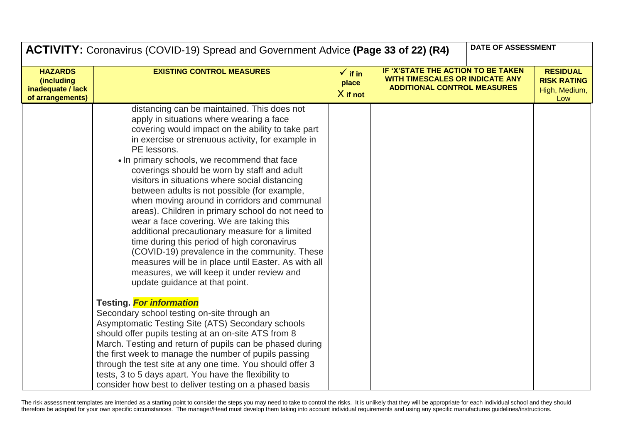|                                                                       | <b>ACTIVITY:</b> Coronavirus (COVID-19) Spread and Government Advice (Page 33 of 22) (R4)                                                                                                                                                                                                                                                                                                                                                                                                                                                                                                                                                                                                                                                                                                                                                                   |                                           |                                                                                                                    | DATE OF ASSESSMENT |                                                               |
|-----------------------------------------------------------------------|-------------------------------------------------------------------------------------------------------------------------------------------------------------------------------------------------------------------------------------------------------------------------------------------------------------------------------------------------------------------------------------------------------------------------------------------------------------------------------------------------------------------------------------------------------------------------------------------------------------------------------------------------------------------------------------------------------------------------------------------------------------------------------------------------------------------------------------------------------------|-------------------------------------------|--------------------------------------------------------------------------------------------------------------------|--------------------|---------------------------------------------------------------|
| <b>HAZARDS</b><br>(including<br>inadequate / lack<br>of arrangements) | <b>EXISTING CONTROL MEASURES</b>                                                                                                                                                                                                                                                                                                                                                                                                                                                                                                                                                                                                                                                                                                                                                                                                                            | $\checkmark$ if in<br>place<br>$X$ if not | IF 'X'STATE THE ACTION TO BE TAKEN<br><b>WITH TIMESCALES OR INDICATE ANY</b><br><b>ADDITIONAL CONTROL MEASURES</b> |                    | <b>RESIDUAL</b><br><b>RISK RATING</b><br>High, Medium,<br>Low |
|                                                                       | distancing can be maintained. This does not<br>apply in situations where wearing a face<br>covering would impact on the ability to take part<br>in exercise or strenuous activity, for example in<br>PE lessons.<br>• In primary schools, we recommend that face<br>coverings should be worn by staff and adult<br>visitors in situations where social distancing<br>between adults is not possible (for example,<br>when moving around in corridors and communal<br>areas). Children in primary school do not need to<br>wear a face covering. We are taking this<br>additional precautionary measure for a limited<br>time during this period of high coronavirus<br>(COVID-19) prevalence in the community. These<br>measures will be in place until Easter. As with all<br>measures, we will keep it under review and<br>update guidance at that point. |                                           |                                                                                                                    |                    |                                                               |
|                                                                       | <b>Testing.</b> For information<br>Secondary school testing on-site through an<br>Asymptomatic Testing Site (ATS) Secondary schools<br>should offer pupils testing at an on-site ATS from 8<br>March. Testing and return of pupils can be phased during<br>the first week to manage the number of pupils passing<br>through the test site at any one time. You should offer 3<br>tests, 3 to 5 days apart. You have the flexibility to<br>consider how best to deliver testing on a phased basis                                                                                                                                                                                                                                                                                                                                                            |                                           |                                                                                                                    |                    |                                                               |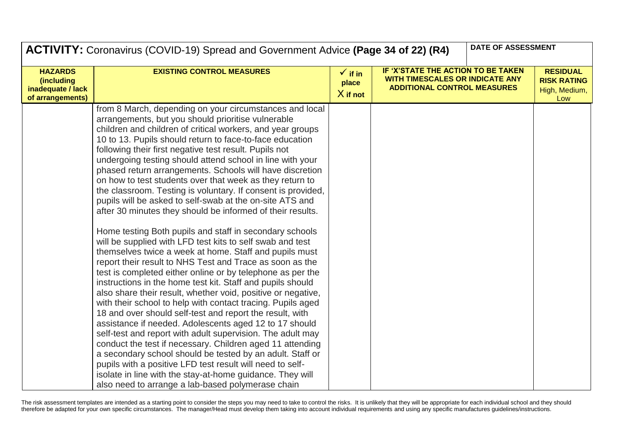|                                                                       | DATE OF ASSESSMENT<br><b>ACTIVITY:</b> Coronavirus (COVID-19) Spread and Government Advice (Page 34 of 22) (R4)                                                                                                                                                                                                                                                                                                                                                                                                                                                                                                                                                                                                                                                                                                                                                                                                                                                                                                                                                                                                                                                                                                                                                                                                                                                                                                                                                                                                                                                                                                                                                                        |                                           |                                                                                                                    |  |                                                               |
|-----------------------------------------------------------------------|----------------------------------------------------------------------------------------------------------------------------------------------------------------------------------------------------------------------------------------------------------------------------------------------------------------------------------------------------------------------------------------------------------------------------------------------------------------------------------------------------------------------------------------------------------------------------------------------------------------------------------------------------------------------------------------------------------------------------------------------------------------------------------------------------------------------------------------------------------------------------------------------------------------------------------------------------------------------------------------------------------------------------------------------------------------------------------------------------------------------------------------------------------------------------------------------------------------------------------------------------------------------------------------------------------------------------------------------------------------------------------------------------------------------------------------------------------------------------------------------------------------------------------------------------------------------------------------------------------------------------------------------------------------------------------------|-------------------------------------------|--------------------------------------------------------------------------------------------------------------------|--|---------------------------------------------------------------|
| <b>HAZARDS</b><br>(including<br>inadequate / lack<br>of arrangements) | <b>EXISTING CONTROL MEASURES</b>                                                                                                                                                                                                                                                                                                                                                                                                                                                                                                                                                                                                                                                                                                                                                                                                                                                                                                                                                                                                                                                                                                                                                                                                                                                                                                                                                                                                                                                                                                                                                                                                                                                       | $\checkmark$ if in<br>place<br>$X$ if not | IF 'X'STATE THE ACTION TO BE TAKEN<br><b>WITH TIMESCALES OR INDICATE ANY</b><br><b>ADDITIONAL CONTROL MEASURES</b> |  | <b>RESIDUAL</b><br><b>RISK RATING</b><br>High, Medium,<br>Low |
|                                                                       | from 8 March, depending on your circumstances and local<br>arrangements, but you should prioritise vulnerable<br>children and children of critical workers, and year groups<br>10 to 13. Pupils should return to face-to-face education<br>following their first negative test result. Pupils not<br>undergoing testing should attend school in line with your<br>phased return arrangements. Schools will have discretion<br>on how to test students over that week as they return to<br>the classroom. Testing is voluntary. If consent is provided,<br>pupils will be asked to self-swab at the on-site ATS and<br>after 30 minutes they should be informed of their results.<br>Home testing Both pupils and staff in secondary schools<br>will be supplied with LFD test kits to self swab and test<br>themselves twice a week at home. Staff and pupils must<br>report their result to NHS Test and Trace as soon as the<br>test is completed either online or by telephone as per the<br>instructions in the home test kit. Staff and pupils should<br>also share their result, whether void, positive or negative,<br>with their school to help with contact tracing. Pupils aged<br>18 and over should self-test and report the result, with<br>assistance if needed. Adolescents aged 12 to 17 should<br>self-test and report with adult supervision. The adult may<br>conduct the test if necessary. Children aged 11 attending<br>a secondary school should be tested by an adult. Staff or<br>pupils with a positive LFD test result will need to self-<br>isolate in line with the stay-at-home guidance. They will<br>also need to arrange a lab-based polymerase chain |                                           |                                                                                                                    |  |                                                               |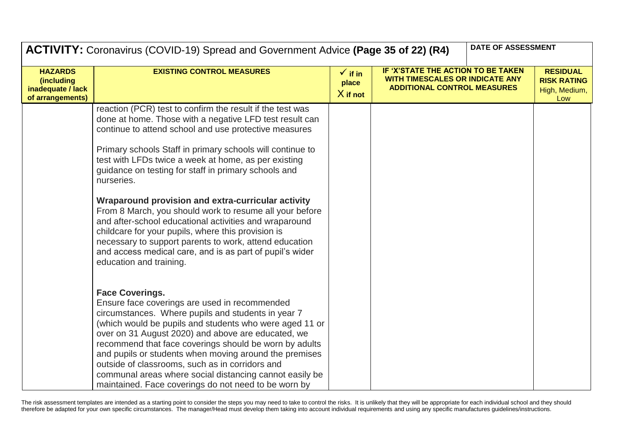|                                                                       | DATE OF ASSESSMENT<br><b>ACTIVITY:</b> Coronavirus (COVID-19) Spread and Government Advice (Page 35 of 22) (R4)                                                                                                                                                                                                                                                                                                                                                                                                                          |                                           |                                                                                                             |  |                                                               |
|-----------------------------------------------------------------------|------------------------------------------------------------------------------------------------------------------------------------------------------------------------------------------------------------------------------------------------------------------------------------------------------------------------------------------------------------------------------------------------------------------------------------------------------------------------------------------------------------------------------------------|-------------------------------------------|-------------------------------------------------------------------------------------------------------------|--|---------------------------------------------------------------|
| <b>HAZARDS</b><br>(including<br>inadequate / lack<br>of arrangements) | <b>EXISTING CONTROL MEASURES</b>                                                                                                                                                                                                                                                                                                                                                                                                                                                                                                         | $\checkmark$ if in<br>place<br>$X$ if not | IF 'X'STATE THE ACTION TO BE TAKEN<br>WITH TIMESCALES OR INDICATE ANY<br><b>ADDITIONAL CONTROL MEASURES</b> |  | <b>RESIDUAL</b><br><b>RISK RATING</b><br>High, Medium,<br>Low |
|                                                                       | reaction (PCR) test to confirm the result if the test was<br>done at home. Those with a negative LFD test result can<br>continue to attend school and use protective measures<br>Primary schools Staff in primary schools will continue to<br>test with LFDs twice a week at home, as per existing<br>guidance on testing for staff in primary schools and                                                                                                                                                                               |                                           |                                                                                                             |  |                                                               |
|                                                                       | nurseries.<br>Wraparound provision and extra-curricular activity<br>From 8 March, you should work to resume all your before<br>and after-school educational activities and wraparound<br>childcare for your pupils, where this provision is<br>necessary to support parents to work, attend education<br>and access medical care, and is as part of pupil's wider<br>education and training.                                                                                                                                             |                                           |                                                                                                             |  |                                                               |
|                                                                       | <b>Face Coverings.</b><br>Ensure face coverings are used in recommended<br>circumstances. Where pupils and students in year 7<br>(which would be pupils and students who were aged 11 or<br>over on 31 August 2020) and above are educated, we<br>recommend that face coverings should be worn by adults<br>and pupils or students when moving around the premises<br>outside of classrooms, such as in corridors and<br>communal areas where social distancing cannot easily be<br>maintained. Face coverings do not need to be worn by |                                           |                                                                                                             |  |                                                               |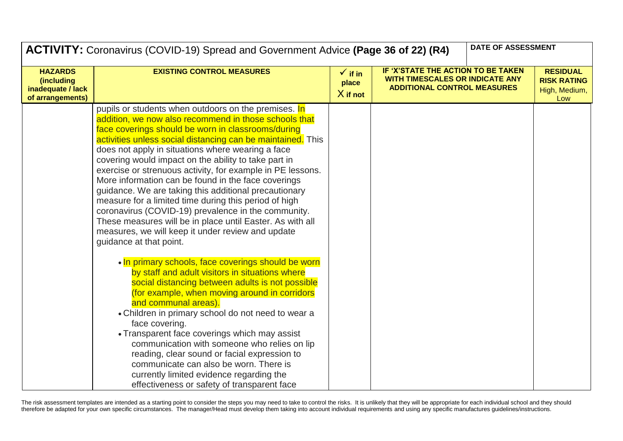|                                                                       | DATE OF ASSESSMENT<br><b>ACTIVITY:</b> Coronavirus (COVID-19) Spread and Government Advice (Page 36 of 22) (R4)                                                                                                                                                                                                                                                                                                                                                                                                                                                                                                                                                                                                                                                                            |                                           |                                                                                                                    |  |                                                               |
|-----------------------------------------------------------------------|--------------------------------------------------------------------------------------------------------------------------------------------------------------------------------------------------------------------------------------------------------------------------------------------------------------------------------------------------------------------------------------------------------------------------------------------------------------------------------------------------------------------------------------------------------------------------------------------------------------------------------------------------------------------------------------------------------------------------------------------------------------------------------------------|-------------------------------------------|--------------------------------------------------------------------------------------------------------------------|--|---------------------------------------------------------------|
| <b>HAZARDS</b><br>(including<br>inadequate / lack<br>of arrangements) | <b>EXISTING CONTROL MEASURES</b>                                                                                                                                                                                                                                                                                                                                                                                                                                                                                                                                                                                                                                                                                                                                                           | $\checkmark$ if in<br>place<br>$X$ if not | IF 'X'STATE THE ACTION TO BE TAKEN<br><b>WITH TIMESCALES OR INDICATE ANY</b><br><b>ADDITIONAL CONTROL MEASURES</b> |  | <b>RESIDUAL</b><br><b>RISK RATING</b><br>High, Medium,<br>Low |
|                                                                       | pupils or students when outdoors on the premises. In<br>addition, we now also recommend in those schools that<br>face coverings should be worn in classrooms/during<br>activities unless social distancing can be maintained. This<br>does not apply in situations where wearing a face<br>covering would impact on the ability to take part in<br>exercise or strenuous activity, for example in PE lessons.<br>More information can be found in the face coverings<br>guidance. We are taking this additional precautionary<br>measure for a limited time during this period of high<br>coronavirus (COVID-19) prevalence in the community.<br>These measures will be in place until Easter. As with all<br>measures, we will keep it under review and update<br>guidance at that point. |                                           |                                                                                                                    |  |                                                               |
|                                                                       | . In primary schools, face coverings should be worn<br>by staff and adult visitors in situations where<br>social distancing between adults is not possible<br>(for example, when moving around in corridors<br>and communal areas).<br>• Children in primary school do not need to wear a<br>face covering.<br>• Transparent face coverings which may assist<br>communication with someone who relies on lip<br>reading, clear sound or facial expression to<br>communicate can also be worn. There is<br>currently limited evidence regarding the<br>effectiveness or safety of transparent face                                                                                                                                                                                          |                                           |                                                                                                                    |  |                                                               |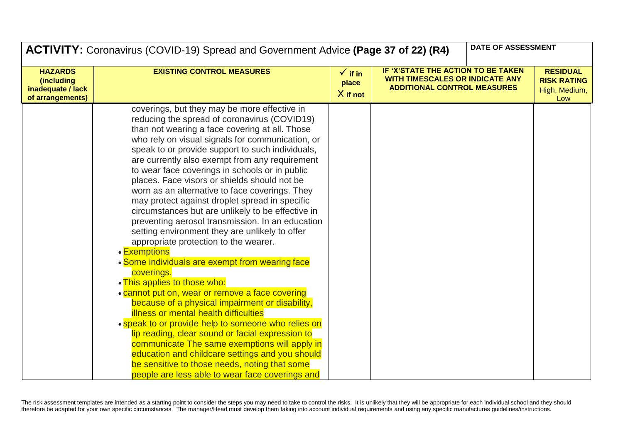|                                                                       | DATE OF ASSESSMENT<br><b>ACTIVITY:</b> Coronavirus (COVID-19) Spread and Government Advice (Page 37 of 22) (R4)                                                                                                                                                                                                                                                                                                                                                                                                                                                                                                                                                                                                                                                                                                                                                                                                                                                                                                                                                                                                                                                                                                                                                                                              |                                           |                                                                                                             |  |                                                               |
|-----------------------------------------------------------------------|--------------------------------------------------------------------------------------------------------------------------------------------------------------------------------------------------------------------------------------------------------------------------------------------------------------------------------------------------------------------------------------------------------------------------------------------------------------------------------------------------------------------------------------------------------------------------------------------------------------------------------------------------------------------------------------------------------------------------------------------------------------------------------------------------------------------------------------------------------------------------------------------------------------------------------------------------------------------------------------------------------------------------------------------------------------------------------------------------------------------------------------------------------------------------------------------------------------------------------------------------------------------------------------------------------------|-------------------------------------------|-------------------------------------------------------------------------------------------------------------|--|---------------------------------------------------------------|
| <b>HAZARDS</b><br>(including<br>inadequate / lack<br>of arrangements) | <b>EXISTING CONTROL MEASURES</b>                                                                                                                                                                                                                                                                                                                                                                                                                                                                                                                                                                                                                                                                                                                                                                                                                                                                                                                                                                                                                                                                                                                                                                                                                                                                             | $\checkmark$ if in<br>place<br>$X$ if not | IF 'X'STATE THE ACTION TO BE TAKEN<br>WITH TIMESCALES OR INDICATE ANY<br><b>ADDITIONAL CONTROL MEASURES</b> |  | <b>RESIDUAL</b><br><b>RISK RATING</b><br>High, Medium,<br>Low |
|                                                                       | coverings, but they may be more effective in<br>reducing the spread of coronavirus (COVID19)<br>than not wearing a face covering at all. Those<br>who rely on visual signals for communication, or<br>speak to or provide support to such individuals,<br>are currently also exempt from any requirement<br>to wear face coverings in schools or in public<br>places. Face visors or shields should not be<br>worn as an alternative to face coverings. They<br>may protect against droplet spread in specific<br>circumstances but are unlikely to be effective in<br>preventing aerosol transmission. In an education<br>setting environment they are unlikely to offer<br>appropriate protection to the wearer.<br>• Exemptions<br>• Some individuals are exempt from wearing face<br>coverings.<br>. This applies to those who:<br>• cannot put on, wear or remove a face covering<br>because of a physical impairment or disability,<br><b>illness or mental health difficulties</b><br>• speak to or provide help to someone who relies on<br>lip reading, clear sound or facial expression to<br>communicate The same exemptions will apply in<br>education and childcare settings and you should<br>be sensitive to those needs, noting that some<br>people are less able to wear face coverings and |                                           |                                                                                                             |  |                                                               |